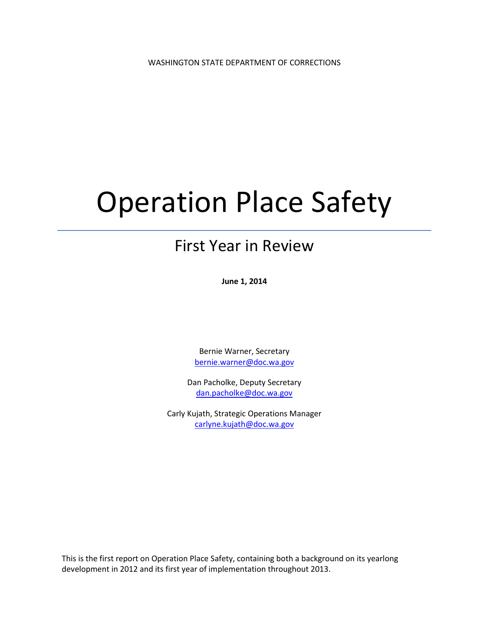# Operation Place Safety

# First Year in Review

**June 1, 2014**

Bernie Warner, Secretary [bernie.warner@doc.wa.gov](mailto:bernie.warner@doc.wa.gov)

Dan Pacholke, Deputy Secretary [dan.pacholke@doc.wa.gov](mailto:dan.pacholke@doc.wa.gov)

Carly Kujath, Strategic Operations Manager [carlyne.kujath@doc.wa.gov](mailto:carlyne.kujath@doc.wa.gov)

This is the first report on Operation Place Safety, containing both a background on its yearlong development in 2012 and its first year of implementation throughout 2013.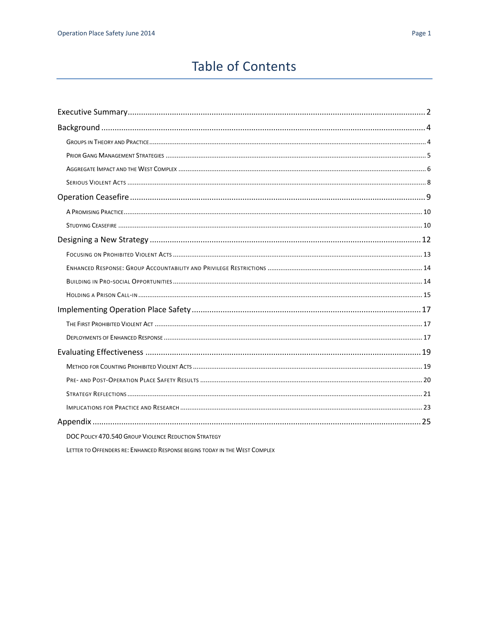# **Table of Contents**

| DOC POLICY 470.540 GROUP VIOLENCE REDUCTION STRATEGY |
|------------------------------------------------------|

LETTER TO OFFENDERS RE: ENHANCED RESPONSE BEGINS TODAY IN THE WEST COMPLEX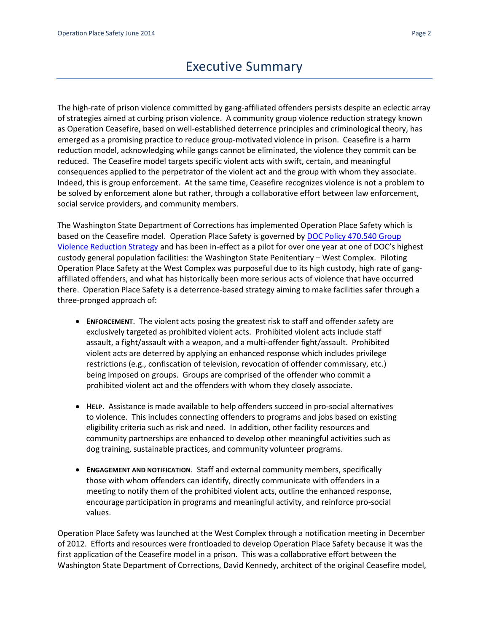# Executive Summary

<span id="page-2-0"></span>The high-rate of prison violence committed by gang-affiliated offenders persists despite an eclectic array of strategies aimed at curbing prison violence. A community group violence reduction strategy known as Operation Ceasefire, based on well-established deterrence principles and criminological theory, has emerged as a promising practice to reduce group-motivated violence in prison. Ceasefire is a harm reduction model, acknowledging while gangs cannot be eliminated, the violence they commit can be reduced. The Ceasefire model targets specific violent acts with swift, certain, and meaningful consequences applied to the perpetrator of the violent act and the group with whom they associate. Indeed, this is group enforcement. At the same time, Ceasefire recognizes violence is not a problem to be solved by enforcement alone but rather, through a collaborative effort between law enforcement, social service providers, and community members.

The Washington State Department of Corrections has implemented Operation Place Safety which is based on the Ceasefire model. Operation Place Safety is governed by DOC Policy 470.540 Group [Violence Reduction Strategy](http://insidedoc/policies/searchresults.aspx?method=Number&start=400&end=500) and has been in-effect as a pilot for over one year at one of DOC's highest custody general population facilities: the Washington State Penitentiary – West Complex. Piloting Operation Place Safety at the West Complex was purposeful due to its high custody, high rate of gangaffiliated offenders, and what has historically been more serious acts of violence that have occurred there. Operation Place Safety is a deterrence-based strategy aiming to make facilities safer through a three-pronged approach of:

- **ENFORCEMENT**. The violent acts posing the greatest risk to staff and offender safety are exclusively targeted as prohibited violent acts. Prohibited violent acts include staff assault, a fight/assault with a weapon, and a multi-offender fight/assault. Prohibited violent acts are deterred by applying an enhanced response which includes privilege restrictions (e.g., confiscation of television, revocation of offender commissary, etc.) being imposed on groups. Groups are comprised of the offender who commit a prohibited violent act and the offenders with whom they closely associate.
- **HELP.** Assistance is made available to help offenders succeed in pro-social alternatives to violence. This includes connecting offenders to programs and jobs based on existing eligibility criteria such as risk and need. In addition, other facility resources and community partnerships are enhanced to develop other meaningful activities such as dog training, sustainable practices, and community volunteer programs.
- **ENGAGEMENT AND NOTIFICATION**. Staff and external community members, specifically those with whom offenders can identify, directly communicate with offenders in a meeting to notify them of the prohibited violent acts, outline the enhanced response, encourage participation in programs and meaningful activity, and reinforce pro-social values.

Operation Place Safety was launched at the West Complex through a notification meeting in December of 2012. Efforts and resources were frontloaded to develop Operation Place Safety because it was the first application of the Ceasefire model in a prison. This was a collaborative effort between the Washington State Department of Corrections, David Kennedy, architect of the original Ceasefire model,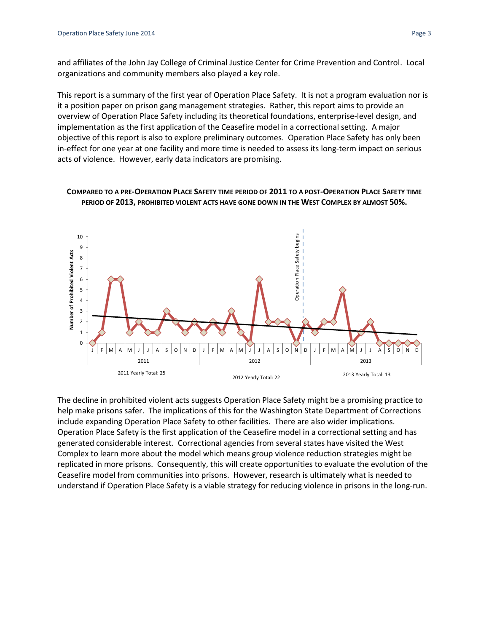and affiliates of the John Jay College of Criminal Justice Center for Crime Prevention and Control. Local organizations and community members also played a key role.

This report is a summary of the first year of Operation Place Safety. It is not a program evaluation nor is it a position paper on prison gang management strategies. Rather, this report aims to provide an overview of Operation Place Safety including its theoretical foundations, enterprise-level design, and implementation as the first application of the Ceasefire model in a correctional setting. A major objective of this report is also to explore preliminary outcomes. Operation Place Safety has only been in-effect for one year at one facility and more time is needed to assess its long-term impact on serious acts of violence. However, early data indicators are promising.





The decline in prohibited violent acts suggests Operation Place Safety might be a promising practice to help make prisons safer. The implications of this for the Washington State Department of Corrections include expanding Operation Place Safety to other facilities. There are also wider implications. Operation Place Safety is the first application of the Ceasefire model in a correctional setting and has generated considerable interest. Correctional agencies from several states have visited the West Complex to learn more about the model which means group violence reduction strategies might be replicated in more prisons. Consequently, this will create opportunities to evaluate the evolution of the Ceasefire model from communities into prisons. However, research is ultimately what is needed to understand if Operation Place Safety is a viable strategy for reducing violence in prisons in the long-run.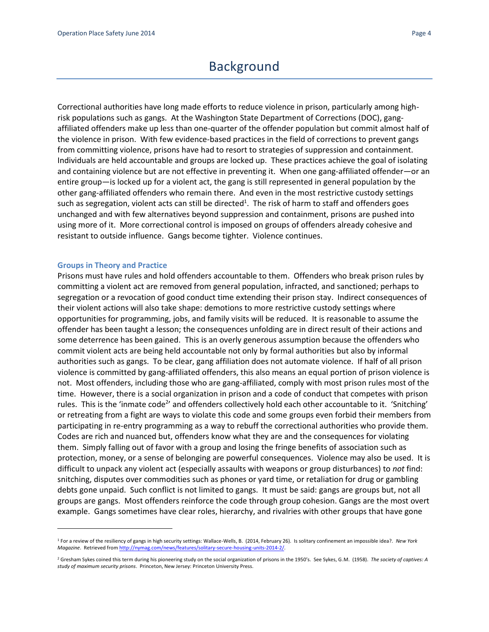## Background

<span id="page-4-0"></span>Correctional authorities have long made efforts to reduce violence in prison, particularly among highrisk populations such as gangs. At the Washington State Department of Corrections (DOC), gangaffiliated offenders make up less than one-quarter of the offender population but commit almost half of the violence in prison. With few evidence-based practices in the field of corrections to prevent gangs from committing violence, prisons have had to resort to strategies of suppression and containment. Individuals are held accountable and groups are locked up. These practices achieve the goal of isolating and containing violence but are not effective in preventing it. When one gang-affiliated offender—or an entire group—is locked up for a violent act, the gang is still represented in general population by the other gang-affiliated offenders who remain there. And even in the most restrictive custody settings such as segregation, violent acts can still be directed<sup>1</sup>. The risk of harm to staff and offenders goes unchanged and with few alternatives beyond suppression and containment, prisons are pushed into using more of it. More correctional control is imposed on groups of offenders already cohesive and resistant to outside influence. Gangs become tighter. Violence continues.

#### <span id="page-4-1"></span>**Groups in Theory and Practice**

 $\overline{a}$ 

Prisons must have rules and hold offenders accountable to them. Offenders who break prison rules by committing a violent act are removed from general population, infracted, and sanctioned; perhaps to segregation or a revocation of good conduct time extending their prison stay. Indirect consequences of their violent actions will also take shape: demotions to more restrictive custody settings where opportunities for programming, jobs, and family visits will be reduced. It is reasonable to assume the offender has been taught a lesson; the consequences unfolding are in direct result of their actions and some deterrence has been gained. This is an overly generous assumption because the offenders who commit violent acts are being held accountable not only by formal authorities but also by informal authorities such as gangs. To be clear, gang affiliation does not automate violence. If half of all prison violence is committed by gang-affiliated offenders, this also means an equal portion of prison violence is not. Most offenders, including those who are gang-affiliated, comply with most prison rules most of the time. However, there is a social organization in prison and a code of conduct that competes with prison rules. This is the 'inmate code<sup>2</sup>' and offenders collectively hold each other accountable to it. 'Snitching' or retreating from a fight are ways to violate this code and some groups even forbid their members from participating in re-entry programming as a way to rebuff the correctional authorities who provide them. Codes are rich and nuanced but, offenders know what they are and the consequences for violating them. Simply falling out of favor with a group and losing the fringe benefits of association such as protection, money, or a sense of belonging are powerful consequences. Violence may also be used. It is difficult to unpack any violent act (especially assaults with weapons or group disturbances) to *not* find: snitching, disputes over commodities such as phones or yard time, or retaliation for drug or gambling debts gone unpaid. Such conflict is not limited to gangs. It must be said: gangs are groups but, not all groups are gangs. Most offenders reinforce the code through group cohesion. Gangs are the most overt example. Gangs sometimes have clear roles, hierarchy, and rivalries with other groups that have gone

<sup>1</sup> For a review of the resiliency of gangs in high security settings: Wallace-Wells, B. (2014, February 26). Is solitary confinement an impossible idea?. *New York Magazine*. Retrieved fro[m http://nymag.com/news/features/solitary-secure-housing-units-2014-2/.](http://nymag.com/news/features/solitary-secure-housing-units-2014-2/)

<sup>2</sup> Gresham Sykes coined this term during his pioneering study on the social organization of prisons in the 1950's. See Sykes, G.M. (1958). *The society of captives: A study of maximum security prisons*. Princeton, New Jersey: Princeton University Press.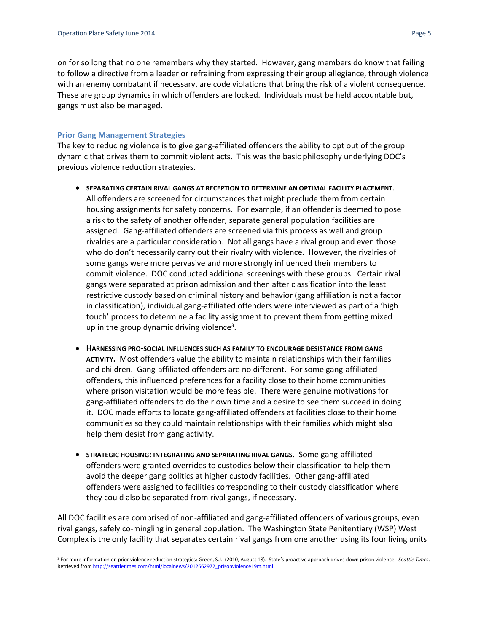on for so long that no one remembers why they started. However, gang members do know that failing to follow a directive from a leader or refraining from expressing their group allegiance, through violence with an enemy combatant if necessary, are code violations that bring the risk of a violent consequence. These are group dynamics in which offenders are locked. Individuals must be held accountable but, gangs must also be managed.

#### <span id="page-5-0"></span>**Prior Gang Management Strategies**

The key to reducing violence is to give gang-affiliated offenders the ability to opt out of the group dynamic that drives them to commit violent acts. This was the basic philosophy underlying DOC's previous violence reduction strategies.

- **SEPARATING CERTAIN RIVAL GANGS AT RECEPTION TO DETERMINE AN OPTIMAL FACILITY PLACEMENT**. All offenders are screened for circumstances that might preclude them from certain housing assignments for safety concerns. For example, if an offender is deemed to pose a risk to the safety of another offender, separate general population facilities are assigned. Gang-affiliated offenders are screened via this process as well and group rivalries are a particular consideration. Not all gangs have a rival group and even those who do don't necessarily carry out their rivalry with violence. However, the rivalries of some gangs were more pervasive and more strongly influenced their members to commit violence. DOC conducted additional screenings with these groups. Certain rival gangs were separated at prison admission and then after classification into the least restrictive custody based on criminal history and behavior (gang affiliation is not a factor in classification), individual gang-affiliated offenders were interviewed as part of a 'high touch' process to determine a facility assignment to prevent them from getting mixed up in the group dynamic driving violence<sup>3</sup>.
- **HARNESSING PRO-SOCIAL INFLUENCES SUCH AS FAMILY TO ENCOURAGE DESISTANCE FROM GANG ACTIVITY.** Most offenders value the ability to maintain relationships with their families and children. Gang-affiliated offenders are no different. For some gang-affiliated offenders, this influenced preferences for a facility close to their home communities where prison visitation would be more feasible. There were genuine motivations for gang-affiliated offenders to do their own time and a desire to see them succeed in doing it. DOC made efforts to locate gang-affiliated offenders at facilities close to their home communities so they could maintain relationships with their families which might also help them desist from gang activity.
- **STRATEGIC HOUSING: INTEGRATING AND SEPARATING RIVAL GANGS**. Some gang-affiliated offenders were granted overrides to custodies below their classification to help them avoid the deeper gang politics at higher custody facilities. Other gang-affiliated offenders were assigned to facilities corresponding to their custody classification where they could also be separated from rival gangs, if necessary.

All DOC facilities are comprised of non-affiliated and gang-affiliated offenders of various groups, even rival gangs, safely co-mingling in general population. The Washington State Penitentiary (WSP) West Complex is the only facility that separates certain rival gangs from one another using its four living units

 $\overline{\phantom{a}}$ <sup>3</sup> For more information on prior violence reduction strategies: Green, S.J. (2010, August 18). State's proactive approach drives down prison violence. *Seattle Times*. Retrieved fro[m http://seattletimes.com/html/localnews/2012662972\\_prisonviolence19m.html.](http://seattletimes.com/html/localnews/2012662972_prisonviolence19m.html)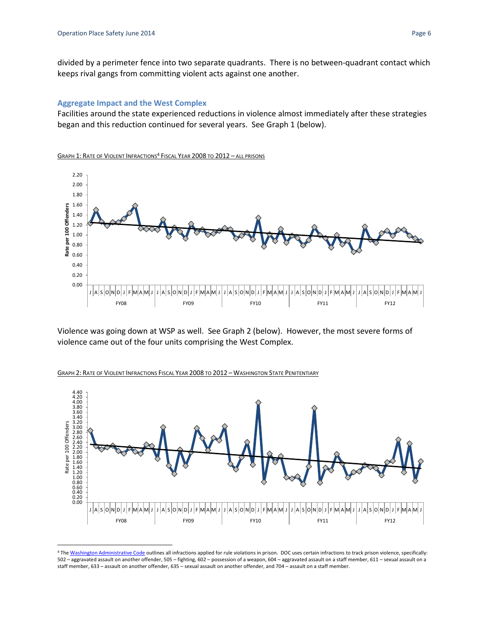$\overline{\phantom{a}}$ 

divided by a perimeter fence into two separate quadrants. There is no between-quadrant contact which keeps rival gangs from committing violent acts against one another.

#### <span id="page-6-0"></span>**Aggregate Impact and the West Complex**

Facilities around the state experienced reductions in violence almost immediately after these strategies began and this reduction continued for several years. See Graph 1 (below).

GRAPH 1: RATE OF VIOLENT INFRACTIONS<sup>4</sup> FISCAL YEAR 2008 TO 2012 – ALL PRISONS



Violence was going down at WSP as well. See Graph 2 (below). However, the most severe forms of violence came out of the four units comprising the West Complex.



GRAPH 2: RATE OF VIOLENT INFRACTIONS FISCAL YEAR 2008 TO 2012 – WASHINGTON STATE PENITENTIARY

<sup>4</sup> Th[e Washington Administrative Code](http://apps.leg.wa.gov/wac/default.aspx?cite=137-25-030) outlines all infractions applied for rule violations in prison. DOC uses certain infractions to track prison violence, specifically: 502 – aggravated assault on another offender, 505 – fighting, 602 – possession of a weapon, 604 – aggravated assault on a staff member, 611 – sexual assault on a staff member, 633 – assault on another offender, 635 – sexual assault on another offender, and 704 – assault on a staff member.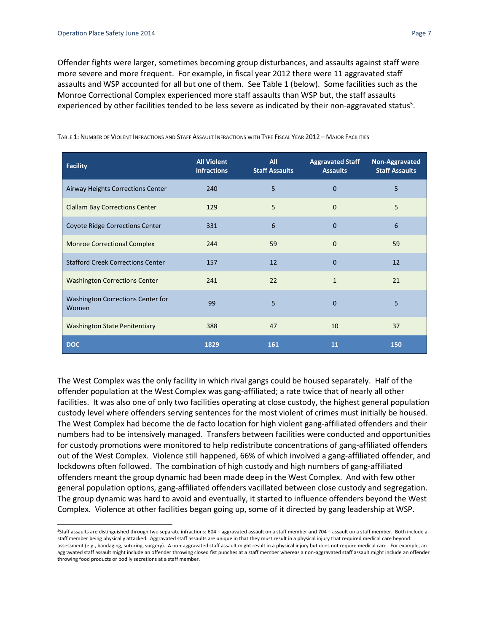$\overline{a}$ 

Offender fights were larger, sometimes becoming group disturbances, and assaults against staff were more severe and more frequent. For example, in fiscal year 2012 there were 11 aggravated staff assaults and WSP accounted for all but one of them. See Table 1 (below). Some facilities such as the Monroe Correctional Complex experienced more staff assaults than WSP but, the staff assaults experienced by other facilities tended to be less severe as indicated by their non-aggravated status<sup>5</sup>.

| <b>Facility</b>                            | <b>All Violent</b><br><b>Infractions</b> | All<br><b>Staff Assaults</b> | <b>Aggravated Staff</b><br><b>Assaults</b> | Non-Aggravated<br><b>Staff Assaults</b> |
|--------------------------------------------|------------------------------------------|------------------------------|--------------------------------------------|-----------------------------------------|
| Airway Heights Corrections Center          | 240                                      | 5                            | $\mathbf{0}$                               | 5                                       |
| <b>Clallam Bay Corrections Center</b>      | 129                                      | 5                            | $\Omega$                                   | 5                                       |
| <b>Coyote Ridge Corrections Center</b>     | 331                                      | 6                            | $\mathbf{0}$                               | 6                                       |
| <b>Monroe Correctional Complex</b>         | 244                                      | 59                           | $\mathbf{0}$                               | 59                                      |
| <b>Stafford Creek Corrections Center</b>   | 157                                      | 12                           | $\Omega$                                   | 12                                      |
| <b>Washington Corrections Center</b>       | 241                                      | 22                           | $\mathbf{1}$                               | 21                                      |
| Washington Corrections Center for<br>Women | 99                                       | 5                            | $\mathbf{0}$                               | 5                                       |
| <b>Washington State Penitentiary</b>       | 388                                      | 47                           | 10                                         | 37                                      |
| <b>DOC</b>                                 | 1829                                     | 161                          | 11                                         | 150                                     |

#### TABLE 1: NUMBER OF VIOLENT INFRACTIONS AND STAFF ASSAULT INFRACTIONS WITH TYPE FISCAL YEAR 2012 – MAJOR FACILITIES

The West Complex was the only facility in which rival gangs could be housed separately. Half of the offender population at the West Complex was gang-affiliated; a rate twice that of nearly all other facilities. It was also one of only two facilities operating at close custody, the highest general population custody level where offenders serving sentences for the most violent of crimes must initially be housed. The West Complex had become the de facto location for high violent gang-affiliated offenders and their numbers had to be intensively managed. Transfers between facilities were conducted and opportunities for custody promotions were monitored to help redistribute concentrations of gang-affiliated offenders out of the West Complex. Violence still happened, 66% of which involved a gang-affiliated offender, and lockdowns often followed. The combination of high custody and high numbers of gang-affiliated offenders meant the group dynamic had been made deep in the West Complex. And with few other general population options, gang-affiliated offenders vacillated between close custody and segregation. The group dynamic was hard to avoid and eventually, it started to influence offenders beyond the West Complex. Violence at other facilities began going up, some of it directed by gang leadership at WSP.

<sup>S</sup>Staff assaults are distinguished through two separate infractions: 604 – aggravated assault on a staff member and 704 – assault on a staff member. Both include a staff member being physically attacked. Aggravated staff assaults are unique in that they must result in a physical injury that required medical care beyond assessment (e.g., bandaging, suturing, surgery). A non-aggravated staff assault might result in a physical injury but does not require medical care. For example, an aggravated staff assault might include an offender throwing closed fist punches at a staff member whereas a non-aggravated staff assault might include an offender throwing food products or bodily secretions at a staff member.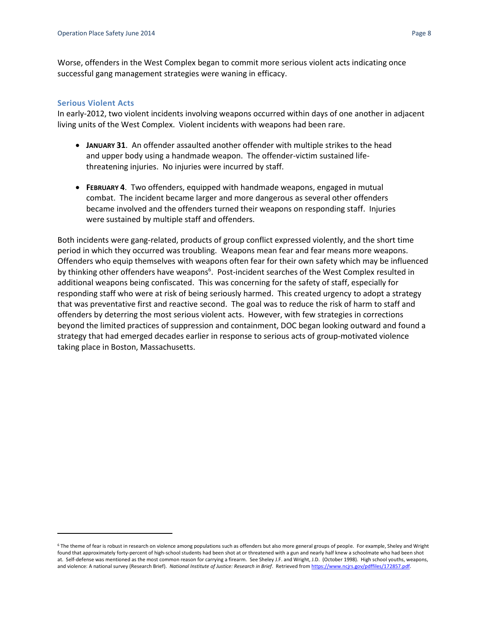Worse, offenders in the West Complex began to commit more serious violent acts indicating once successful gang management strategies were waning in efficacy.

#### <span id="page-8-0"></span>**Serious Violent Acts**

 $\overline{a}$ 

In early-2012, two violent incidents involving weapons occurred within days of one another in adjacent living units of the West Complex. Violent incidents with weapons had been rare.

- **JANUARY 31**. An offender assaulted another offender with multiple strikes to the head and upper body using a handmade weapon. The offender-victim sustained lifethreatening injuries. No injuries were incurred by staff.
- **FEBRUARY 4**. Two offenders, equipped with handmade weapons, engaged in mutual combat. The incident became larger and more dangerous as several other offenders became involved and the offenders turned their weapons on responding staff. Injuries were sustained by multiple staff and offenders.

Both incidents were gang-related, products of group conflict expressed violently, and the short time period in which they occurred was troubling. Weapons mean fear and fear means more weapons. Offenders who equip themselves with weapons often fear for their own safety which may be influenced by thinking other offenders have weapons<sup>6</sup>. Post-incident searches of the West Complex resulted in additional weapons being confiscated. This was concerning for the safety of staff, especially for responding staff who were at risk of being seriously harmed. This created urgency to adopt a strategy that was preventative first and reactive second. The goal was to reduce the risk of harm to staff and offenders by deterring the most serious violent acts. However, with few strategies in corrections beyond the limited practices of suppression and containment, DOC began looking outward and found a strategy that had emerged decades earlier in response to serious acts of group-motivated violence taking place in Boston, Massachusetts.

 $6$  The theme of fear is robust in research on violence among populations such as offenders but also more general groups of people. For example, Sheley and Wright found that approximately forty-percent of high-school students had been shot at or threatened with a gun and nearly half knew a schoolmate who had been shot at. Self-defense was mentioned as the most common reason for carrying a firearm. See Sheley J.F. and Wright, J.D. (October 1998). High school youths, weapons, and violence: A national survey (Research Brief). *National Institute of Justice: Research in Brief*. Retrieved fro[m https://www.ncjrs.gov/pdffiles/172857.pdf.](https://www.ncjrs.gov/pdffiles/172857.pdf)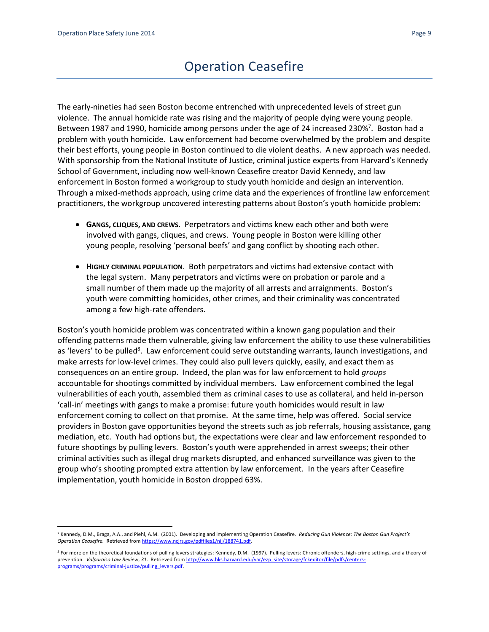# Operation Ceasefire

<span id="page-9-0"></span>The early-nineties had seen Boston become entrenched with unprecedented levels of street gun violence. The annual homicide rate was rising and the majority of people dying were young people. Between 1987 and 1990, homicide among persons under the age of 24 increased 230%<sup>7</sup>. Boston had a problem with youth homicide. Law enforcement had become overwhelmed by the problem and despite their best efforts, young people in Boston continued to die violent deaths. A new approach was needed. With sponsorship from the National Institute of Justice, criminal justice experts from Harvard's Kennedy School of Government, including now well-known Ceasefire creator David Kennedy, and law enforcement in Boston formed a workgroup to study youth homicide and design an intervention. Through a mixed-methods approach, using crime data and the experiences of frontline law enforcement practitioners, the workgroup uncovered interesting patterns about Boston's youth homicide problem:

- **GANGS, CLIQUES, AND CREWS**. Perpetrators and victims knew each other and both were involved with gangs, cliques, and crews. Young people in Boston were killing other young people, resolving 'personal beefs' and gang conflict by shooting each other.
- **HIGHLY CRIMINAL POPULATION.** Both perpetrators and victims had extensive contact with the legal system. Many perpetrators and victims were on probation or parole and a small number of them made up the majority of all arrests and arraignments. Boston's youth were committing homicides, other crimes, and their criminality was concentrated among a few high-rate offenders.

Boston's youth homicide problem was concentrated within a known gang population and their offending patterns made them vulnerable, giving law enforcement the ability to use these vulnerabilities as 'levers' to be pulled<sup>8</sup>. Law enforcement could serve outstanding warrants, launch investigations, and make arrests for low-level crimes. They could also pull levers quickly, easily, and exact them as consequences on an entire group. Indeed, the plan was for law enforcement to hold *groups* accountable for shootings committed by individual members. Law enforcement combined the legal vulnerabilities of each youth, assembled them as criminal cases to use as collateral, and held in-person 'call-in' meetings with gangs to make a promise: future youth homicides would result in law enforcement coming to collect on that promise. At the same time, help was offered. Social service providers in Boston gave opportunities beyond the streets such as job referrals, housing assistance, gang mediation, etc. Youth had options but, the expectations were clear and law enforcement responded to future shootings by pulling levers. Boston's youth were apprehended in arrest sweeps; their other criminal activities such as illegal drug markets disrupted, and enhanced surveillance was given to the group who's shooting prompted extra attention by law enforcement. In the years after Ceasefire implementation, youth homicide in Boston dropped 63%.

l <sup>7</sup> Kennedy, D.M., Braga, A.A., and Piehl, A.M. (2001). Developing and implementing Operation Ceasefire. *Reducing Gun Violence: The Boston Gun Project's Operation Ceasefire.* Retrieved fro[m https://www.ncjrs.gov/pdffiles1/nij/188741.pdf.](https://www.ncjrs.gov/pdffiles1/nij/188741.pdf)

<sup>8</sup> For more on the theoretical foundations of pulling levers strategies: Kennedy, D.M. (1997). Pulling levers: Chronic offenders, high-crime settings, and a theory of prevention. *Valparaiso Law Review*, *31*. Retrieved fro[m http://www.hks.harvard.edu/var/ezp\\_site/storage/fckeditor/file/pdfs/centers](http://www.hks.harvard.edu/var/ezp_site/storage/fckeditor/file/pdfs/centers-programs/programs/criminal-justice/pulling_levers.pdf)[programs/programs/criminal-justice/pulling\\_levers.pdf.](http://www.hks.harvard.edu/var/ezp_site/storage/fckeditor/file/pdfs/centers-programs/programs/criminal-justice/pulling_levers.pdf)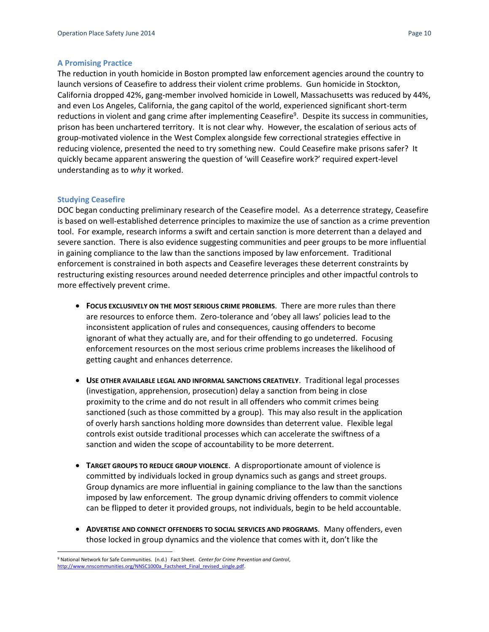#### <span id="page-10-0"></span>**A Promising Practice**

The reduction in youth homicide in Boston prompted law enforcement agencies around the country to launch versions of Ceasefire to address their violent crime problems. Gun homicide in Stockton, California dropped 42%, gang-member involved homicide in Lowell, Massachusetts was reduced by 44%, and even Los Angeles, California, the gang capitol of the world, experienced significant short-term reductions in violent and gang crime after implementing Ceasefire<sup>9</sup>. Despite its success in communities, prison has been unchartered territory. It is not clear why. However, the escalation of serious acts of group-motivated violence in the West Complex alongside few correctional strategies effective in reducing violence, presented the need to try something new. Could Ceasefire make prisons safer? It quickly became apparent answering the question of 'will Ceasefire work?' required expert-level understanding as to *why* it worked.

#### <span id="page-10-1"></span>**Studying Ceasefire**

 $\overline{\phantom{a}}$ 

DOC began conducting preliminary research of the Ceasefire model. As a deterrence strategy, Ceasefire is based on well-established deterrence principles to maximize the use of sanction as a crime prevention tool. For example, research informs a swift and certain sanction is more deterrent than a delayed and severe sanction. There is also evidence suggesting communities and peer groups to be more influential in gaining compliance to the law than the sanctions imposed by law enforcement. Traditional enforcement is constrained in both aspects and Ceasefire leverages these deterrent constraints by restructuring existing resources around needed deterrence principles and other impactful controls to more effectively prevent crime.

- **FOCUS EXCLUSIVELY ON THE MOST SERIOUS CRIME PROBLEMS.** There are more rules than there are resources to enforce them. Zero-tolerance and 'obey all laws' policies lead to the inconsistent application of rules and consequences, causing offenders to become ignorant of what they actually are, and for their offending to go undeterred. Focusing enforcement resources on the most serious crime problems increases the likelihood of getting caught and enhances deterrence.
- **USE OTHER AVAILABLE LEGAL AND INFORMAL SANCTIONS CREATIVELY. Traditional legal processes** (investigation, apprehension, prosecution) delay a sanction from being in close proximity to the crime and do not result in all offenders who commit crimes being sanctioned (such as those committed by a group). This may also result in the application of overly harsh sanctions holding more downsides than deterrent value. Flexible legal controls exist outside traditional processes which can accelerate the swiftness of a sanction and widen the scope of accountability to be more deterrent.
- **TARGET GROUPS TO REDUCE GROUP VIOLENCE.** A disproportionate amount of violence is committed by individuals locked in group dynamics such as gangs and street groups. Group dynamics are more influential in gaining compliance to the law than the sanctions imposed by law enforcement. The group dynamic driving offenders to commit violence can be flipped to deter it provided groups, not individuals, begin to be held accountable.
- **ADVERTISE AND CONNECT OFFENDERS TO SOCIAL SERVICES AND PROGRAMS**. Many offenders, even those locked in group dynamics and the violence that comes with it, don't like the

<sup>9</sup> National Network for Safe Communities. (n.d.) Fact Sheet. *Center for Crime Prevention and Control*, http://www.nnscommunities.org/NNSC1000a\_Factsheet\_Final\_revised\_single.pdf.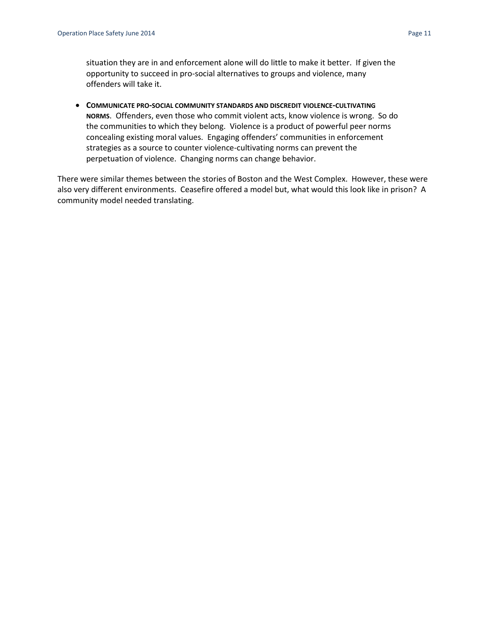situation they are in and enforcement alone will do little to make it better. If given the opportunity to succeed in pro-social alternatives to groups and violence, many offenders will take it.

 **COMMUNICATE PRO-SOCIAL COMMUNITY STANDARDS AND DISCREDIT VIOLENCE-CULTIVATING NORMS**. Offenders, even those who commit violent acts, know violence is wrong. So do the communities to which they belong. Violence is a product of powerful peer norms concealing existing moral values. Engaging offenders' communities in enforcement strategies as a source to counter violence-cultivating norms can prevent the perpetuation of violence. Changing norms can change behavior.

There were similar themes between the stories of Boston and the West Complex. However, these were also very different environments. Ceasefire offered a model but, what would this look like in prison? A community model needed translating.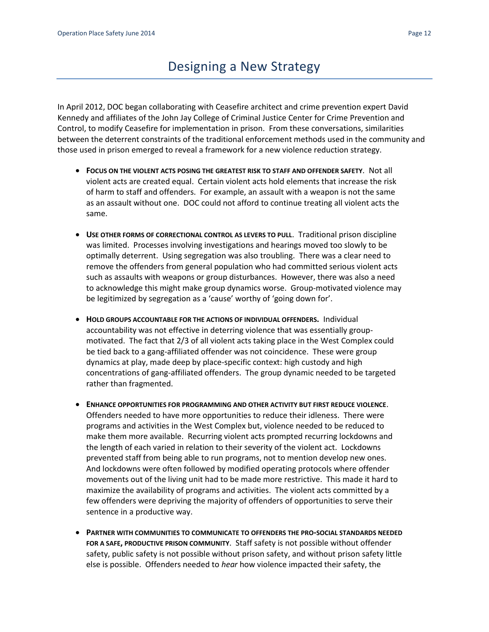# Designing a New Strategy

<span id="page-12-0"></span>In April 2012, DOC began collaborating with Ceasefire architect and crime prevention expert David Kennedy and affiliates of the John Jay College of Criminal Justice Center for Crime Prevention and Control, to modify Ceasefire for implementation in prison. From these conversations, similarities between the deterrent constraints of the traditional enforcement methods used in the community and those used in prison emerged to reveal a framework for a new violence reduction strategy.

- **FOCUS ON THE VIOLENT ACTS POSING THE GREATEST RISK TO STAFF AND OFFENDER SAFETY**. Not all violent acts are created equal. Certain violent acts hold elements that increase the risk of harm to staff and offenders. For example, an assault with a weapon is not the same as an assault without one. DOC could not afford to continue treating all violent acts the same.
- **USE OTHER FORMS OF CORRECTIONAL CONTROL AS LEVERS TO PULL. Traditional prison discipline** was limited. Processes involving investigations and hearings moved too slowly to be optimally deterrent. Using segregation was also troubling. There was a clear need to remove the offenders from general population who had committed serious violent acts such as assaults with weapons or group disturbances. However, there was also a need to acknowledge this might make group dynamics worse. Group-motivated violence may be legitimized by segregation as a 'cause' worthy of 'going down for'.
- **HOLD GROUPS ACCOUNTABLE FOR THE ACTIONS OF INDIVIDUAL OFFENDERS. Individual** accountability was not effective in deterring violence that was essentially groupmotivated. The fact that 2/3 of all violent acts taking place in the West Complex could be tied back to a gang-affiliated offender was not coincidence. These were group dynamics at play, made deep by place-specific context: high custody and high concentrations of gang-affiliated offenders. The group dynamic needed to be targeted rather than fragmented.
- **ENHANCE OPPORTUNITIES FOR PROGRAMMING AND OTHER ACTIVITY BUT FIRST REDUCE VIOLENCE**. Offenders needed to have more opportunities to reduce their idleness. There were programs and activities in the West Complex but, violence needed to be reduced to make them more available. Recurring violent acts prompted recurring lockdowns and the length of each varied in relation to their severity of the violent act. Lockdowns prevented staff from being able to run programs, not to mention develop new ones. And lockdowns were often followed by modified operating protocols where offender movements out of the living unit had to be made more restrictive. This made it hard to maximize the availability of programs and activities. The violent acts committed by a few offenders were depriving the majority of offenders of opportunities to serve their sentence in a productive way.
- **PARTNER WITH COMMUNITIES TO COMMUNICATE TO OFFENDERS THE PRO-SOCIAL STANDARDS NEEDED FOR A SAFE, PRODUCTIVE PRISON COMMUNITY**. Staff safety is not possible without offender safety, public safety is not possible without prison safety, and without prison safety little else is possible. Offenders needed to *hear* how violence impacted their safety, the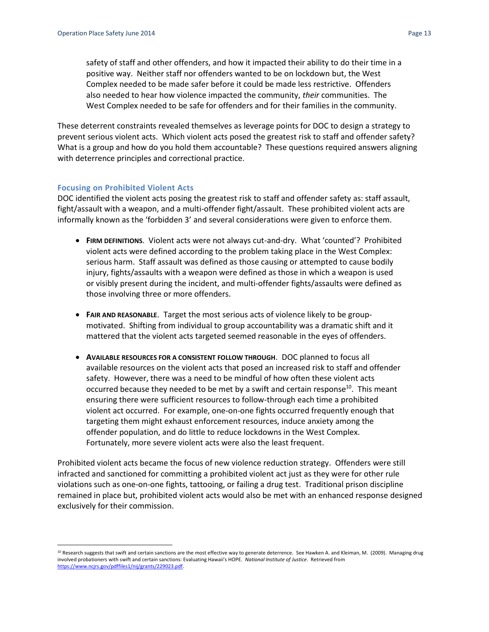safety of staff and other offenders, and how it impacted their ability to do their time in a positive way. Neither staff nor offenders wanted to be on lockdown but, the West Complex needed to be made safer before it could be made less restrictive. Offenders also needed to hear how violence impacted the community, *their* communities. The West Complex needed to be safe for offenders and for their families in the community.

These deterrent constraints revealed themselves as leverage points for DOC to design a strategy to prevent serious violent acts. Which violent acts posed the greatest risk to staff and offender safety? What is a group and how do you hold them accountable? These questions required answers aligning with deterrence principles and correctional practice.

#### <span id="page-13-0"></span>**Focusing on Prohibited Violent Acts**

 $\overline{\phantom{a}}$ 

DOC identified the violent acts posing the greatest risk to staff and offender safety as: staff assault, fight/assault with a weapon, and a multi-offender fight/assault. These prohibited violent acts are informally known as the 'forbidden 3' and several considerations were given to enforce them.

- **FIRM DEFINITIONS.** Violent acts were not always cut-and-dry. What 'counted'? Prohibited violent acts were defined according to the problem taking place in the West Complex: serious harm. Staff assault was defined as those causing or attempted to cause bodily injury, fights/assaults with a weapon were defined as those in which a weapon is used or visibly present during the incident, and multi-offender fights/assaults were defined as those involving three or more offenders.
- **FAIR AND REASONABLE.** Target the most serious acts of violence likely to be groupmotivated. Shifting from individual to group accountability was a dramatic shift and it mattered that the violent acts targeted seemed reasonable in the eyes of offenders.
- **AVAILABLE RESOURCES FOR A CONSISTENT FOLLOW THROUGH**. DOC planned to focus all available resources on the violent acts that posed an increased risk to staff and offender safety. However, there was a need to be mindful of how often these violent acts occurred because they needed to be met by a swift and certain response<sup>10</sup>. This meant ensuring there were sufficient resources to follow-through each time a prohibited violent act occurred. For example, one-on-one fights occurred frequently enough that targeting them might exhaust enforcement resources, induce anxiety among the offender population, and do little to reduce lockdowns in the West Complex. Fortunately, more severe violent acts were also the least frequent.

Prohibited violent acts became the focus of new violence reduction strategy. Offenders were still infracted and sanctioned for committing a prohibited violent act just as they were for other rule violations such as one-on-one fights, tattooing, or failing a drug test. Traditional prison discipline remained in place but, prohibited violent acts would also be met with an enhanced response designed exclusively for their commission.

<sup>&</sup>lt;sup>10</sup> Research suggests that swift and certain sanctions are the most effective way to generate deterrence. See Hawken A. and Kleiman, M. (2009). Managing drug involved probationers with swift and certain sanctions: Evaluating Hawaii's HOPE. *National Institute of Justice*. Retrieved from [https://www.ncjrs.gov/pdffiles1/nij/grants/229023.pdf.](https://www.ncjrs.gov/pdffiles1/nij/grants/229023.pdf)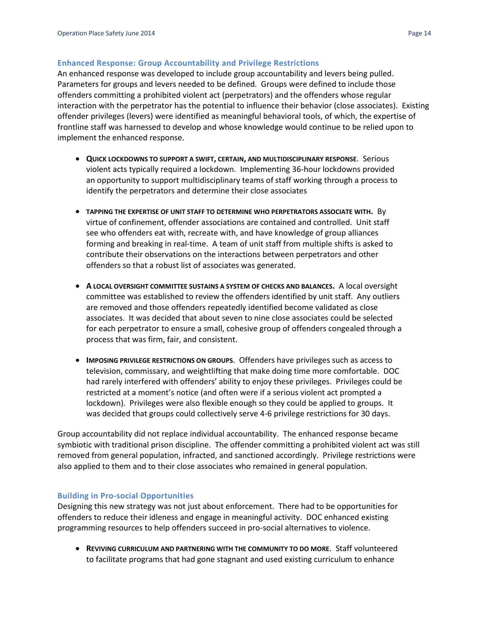#### <span id="page-14-0"></span>**Enhanced Response: Group Accountability and Privilege Restrictions**

An enhanced response was developed to include group accountability and levers being pulled. Parameters for groups and levers needed to be defined. Groups were defined to include those offenders committing a prohibited violent act (perpetrators) and the offenders whose regular interaction with the perpetrator has the potential to influence their behavior (close associates). Existing offender privileges (levers) were identified as meaningful behavioral tools, of which, the expertise of frontline staff was harnessed to develop and whose knowledge would continue to be relied upon to implement the enhanced response.

- **QUICK LOCKDOWNS TO SUPPORT A SWIFT, CERTAIN, AND MULTIDISCIPLINARY RESPONSE**. Serious violent acts typically required a lockdown. Implementing 36-hour lockdowns provided an opportunity to support multidisciplinary teams of staff working through a process to identify the perpetrators and determine their close associates
- **TAPPING THE EXPERTISE OF UNIT STAFF TO DETERMINE WHO PERPETRATORS ASSOCIATE WITH.** By virtue of confinement, offender associations are contained and controlled. Unit staff see who offenders eat with, recreate with, and have knowledge of group alliances forming and breaking in real-time. A team of unit staff from multiple shifts is asked to contribute their observations on the interactions between perpetrators and other offenders so that a robust list of associates was generated.
- **A LOCAL OVERSIGHT COMMITTEE SUSTAINS A SYSTEM OF CHECKS AND BALANCES.** A local oversight committee was established to review the offenders identified by unit staff. Any outliers are removed and those offenders repeatedly identified become validated as close associates. It was decided that about seven to nine close associates could be selected for each perpetrator to ensure a small, cohesive group of offenders congealed through a process that was firm, fair, and consistent.
- **IMPOSING PRIVILEGE RESTRICTIONS ON GROUPS**. Offenders have privileges such as access to television, commissary, and weightlifting that make doing time more comfortable. DOC had rarely interfered with offenders' ability to enjoy these privileges. Privileges could be restricted at a moment's notice (and often were if a serious violent act prompted a lockdown). Privileges were also flexible enough so they could be applied to groups. It was decided that groups could collectively serve 4-6 privilege restrictions for 30 days.

Group accountability did not replace individual accountability. The enhanced response became symbiotic with traditional prison discipline. The offender committing a prohibited violent act was still removed from general population, infracted, and sanctioned accordingly. Privilege restrictions were also applied to them and to their close associates who remained in general population.

#### <span id="page-14-1"></span>**Building in Pro-social Opportunities**

Designing this new strategy was not just about enforcement. There had to be opportunities for offenders to reduce their idleness and engage in meaningful activity. DOC enhanced existing programming resources to help offenders succeed in pro-social alternatives to violence.

 **REVIVING CURRICULUM AND PARTNERING WITH THE COMMUNITY TO DO MORE**. Staff volunteered to facilitate programs that had gone stagnant and used existing curriculum to enhance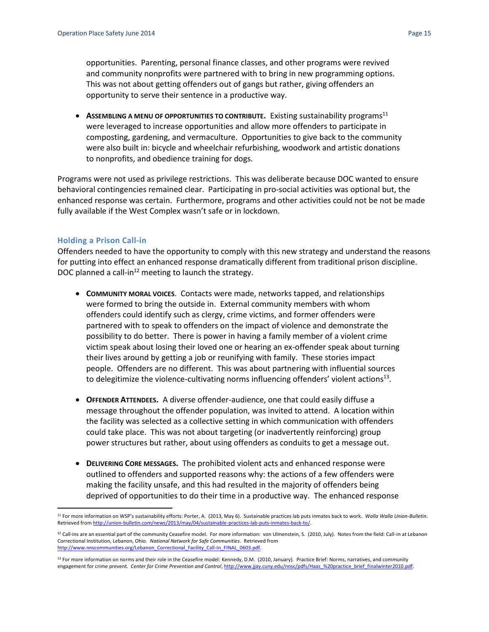opportunities. Parenting, personal finance classes, and other programs were revived and community nonprofits were partnered with to bring in new programming options. This was not about getting offenders out of gangs but rather, giving offenders an opportunity to serve their sentence in a productive way.

**ASSEMBLING A MENU OF OPPORTUNITIES TO CONTRIBUTE.** Existing sustainability programs<sup>11</sup> were leveraged to increase opportunities and allow more offenders to participate in composting, gardening, and vermaculture. Opportunities to give back to the community were also built in: bicycle and wheelchair refurbishing, woodwork and artistic donations to nonprofits, and obedience training for dogs.

Programs were not used as privilege restrictions. This was deliberate because DOC wanted to ensure behavioral contingencies remained clear. Participating in pro-social activities was optional but, the enhanced response was certain. Furthermore, programs and other activities could not be not be made fully available if the West Complex wasn't safe or in lockdown.

#### <span id="page-15-0"></span>**Holding a Prison Call-in**

Offenders needed to have the opportunity to comply with this new strategy and understand the reasons for putting into effect an enhanced response dramatically different from traditional prison discipline. DOC planned a call-in $^{12}$  meeting to launch the strategy.

- **COMMUNITY MORAL VOICES**. Contacts were made, networks tapped, and relationships were formed to bring the outside in. External community members with whom offenders could identify such as clergy, crime victims, and former offenders were partnered with to speak to offenders on the impact of violence and demonstrate the possibility to do better. There is power in having a family member of a violent crime victim speak about losing their loved one or hearing an ex-offender speak about turning their lives around by getting a job or reunifying with family. These stories impact people. Offenders are no different. This was about partnering with influential sources to delegitimize the violence-cultivating norms influencing offenders' violent actions<sup>13</sup>.
- **OFFENDER ATTENDEES.** A diverse offender-audience, one that could easily diffuse a message throughout the offender population, was invited to attend. A location within the facility was selected as a collective setting in which communication with offenders could take place. This was not about targeting (or inadvertently reinforcing) group power structures but rather, about using offenders as conduits to get a message out.
- **DELIVERING CORE MESSAGES.** The prohibited violent acts and enhanced response were outlined to offenders and supported reasons why: the actions of a few offenders were making the facility unsafe, and this had resulted in the majority of offenders being deprived of opportunities to do their time in a productive way. The enhanced response

 $\overline{\phantom{a}}$ <sup>11</sup> For more information on WSP's sustainability efforts: Porter, A. (2013, May 6). Sustainable practices lab puts inmates back to work. *Walla Walla Union-Bulletin*. Retrieved fro[m http://union-bulletin.com/news/2013/may/04/sustainable-practices-lab-puts-inmates-back-to/.](http://union-bulletin.com/news/2013/may/04/sustainable-practices-lab-puts-inmates-back-to/) 

<sup>&</sup>lt;sup>12</sup> Call-ins are an essential part of the community Ceasefire model. For more information: von Ulmenstein, S. (2010, July). Notes from the field: Call-in at Lebanon Correctional Institution, Lebanon, Ohio. *National Network for Safe Communities*. Retrieved from [http://www.nnscommunities.org/Lebanon\\_Correctional\\_Facility\\_Call-In\\_FINAL\\_0603.pdf.](http://www.nnscommunities.org/Lebanon_Correctional_Facility_Call-In_FINAL_0603.pdf)

<sup>&</sup>lt;sup>13</sup> For more information on norms and their role in the Ceasefire model: Kennedy, D.M. (2010, January). Practice Brief: Norms, narratives, and community engagement for crime prevent. Center for Crime Prevention and Control[, http://www.jjay.cuny.edu/nnsc/pdfs/Haas\\_%20practice\\_brief\\_finalwinter2010.pdf.](http://www.jjay.cuny.edu/nnsc/pdfs/Haas_%20practice_brief_finalwinter2010.pdf)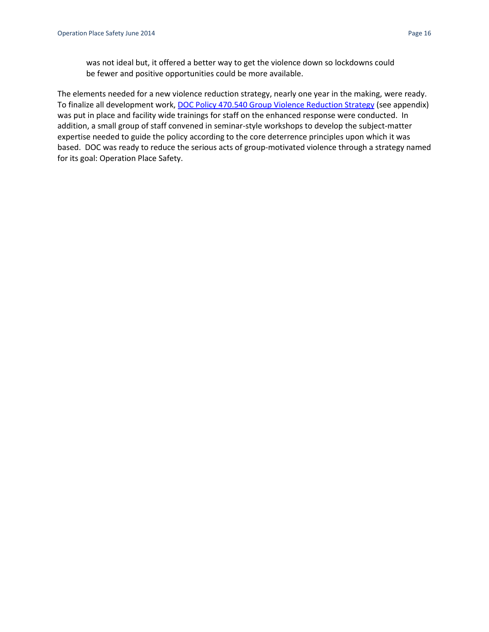was not ideal but, it offered a better way to get the violence down so lockdowns could be fewer and positive opportunities could be more available.

The elements needed for a new violence reduction strategy, nearly one year in the making, were ready. To finalize all development work[, DOC Policy 470.540 Group Violence Reduction Strategy](http://insidedoc/policies/searchresults.aspx?method=Number&start=400&end=500) (see appendix) was put in place and facility wide trainings for staff on the enhanced response were conducted. In addition, a small group of staff convened in seminar-style workshops to develop the subject-matter expertise needed to guide the policy according to the core deterrence principles upon which it was based. DOC was ready to reduce the serious acts of group-motivated violence through a strategy named for its goal: Operation Place Safety.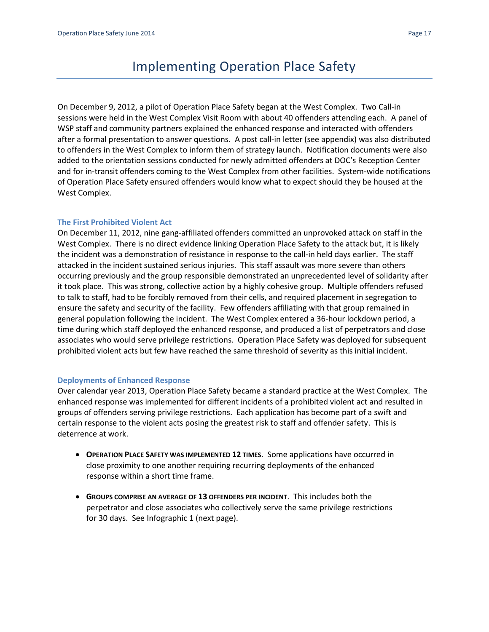# Implementing Operation Place Safety

<span id="page-17-0"></span>On December 9, 2012, a pilot of Operation Place Safety began at the West Complex. Two Call-in sessions were held in the West Complex Visit Room with about 40 offenders attending each. A panel of WSP staff and community partners explained the enhanced response and interacted with offenders after a formal presentation to answer questions. A post call-in letter (see appendix) was also distributed to offenders in the West Complex to inform them of strategy launch. Notification documents were also added to the orientation sessions conducted for newly admitted offenders at DOC's Reception Center and for in-transit offenders coming to the West Complex from other facilities. System-wide notifications of Operation Place Safety ensured offenders would know what to expect should they be housed at the West Complex.

#### <span id="page-17-1"></span>**The First Prohibited Violent Act**

On December 11, 2012, nine gang-affiliated offenders committed an unprovoked attack on staff in the West Complex. There is no direct evidence linking Operation Place Safety to the attack but, it is likely the incident was a demonstration of resistance in response to the call-in held days earlier. The staff attacked in the incident sustained serious injuries. This staff assault was more severe than others occurring previously and the group responsible demonstrated an unprecedented level of solidarity after it took place. This was strong, collective action by a highly cohesive group. Multiple offenders refused to talk to staff, had to be forcibly removed from their cells, and required placement in segregation to ensure the safety and security of the facility. Few offenders affiliating with that group remained in general population following the incident. The West Complex entered a 36-hour lockdown period, a time during which staff deployed the enhanced response, and produced a list of perpetrators and close associates who would serve privilege restrictions. Operation Place Safety was deployed for subsequent prohibited violent acts but few have reached the same threshold of severity as this initial incident.

#### <span id="page-17-2"></span>**Deployments of Enhanced Response**

Over calendar year 2013, Operation Place Safety became a standard practice at the West Complex. The enhanced response was implemented for different incidents of a prohibited violent act and resulted in groups of offenders serving privilege restrictions. Each application has become part of a swift and certain response to the violent acts posing the greatest risk to staff and offender safety. This is deterrence at work.

- **OPERATION PLACE SAFETY WAS IMPLEMENTED 12 TIMES**. Some applications have occurred in close proximity to one another requiring recurring deployments of the enhanced response within a short time frame.
- **GROUPS COMPRISE AN AVERAGE OF 13 OFFENDERS PER INCIDENT**. This includes both the perpetrator and close associates who collectively serve the same privilege restrictions for 30 days. See Infographic 1 (next page).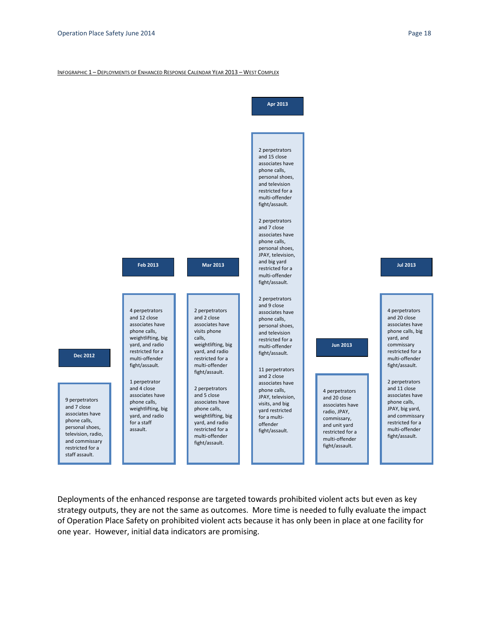#### INFOGRAPHIC 1 – DEPLOYMENTS OF ENHANCED RESPONSE CALENDAR YEAR 2013 – WEST COMPLEX



Deployments of the enhanced response are targeted towards prohibited violent acts but even as key strategy outputs, they are not the same as outcomes. More time is needed to fully evaluate the impact of Operation Place Safety on prohibited violent acts because it has only been in place at one facility for one year. However, initial data indicators are promising.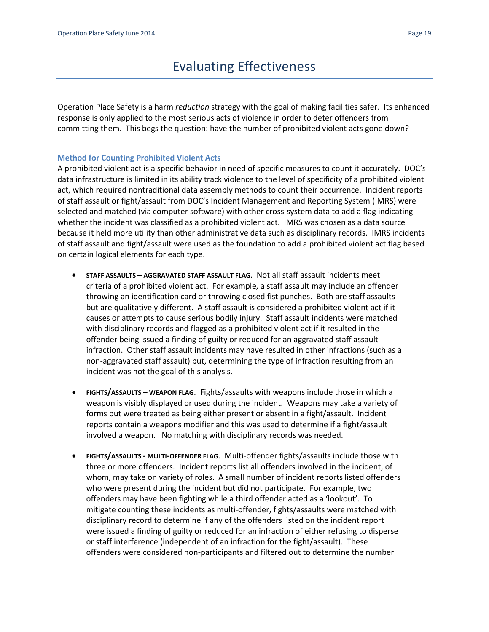# Evaluating Effectiveness

<span id="page-19-0"></span>Operation Place Safety is a harm *reduction* strategy with the goal of making facilities safer. Its enhanced response is only applied to the most serious acts of violence in order to deter offenders from committing them. This begs the question: have the number of prohibited violent acts gone down?

#### <span id="page-19-1"></span>**Method for Counting Prohibited Violent Acts**

A prohibited violent act is a specific behavior in need of specific measures to count it accurately. DOC's data infrastructure is limited in its ability track violence to the level of specificity of a prohibited violent act, which required nontraditional data assembly methods to count their occurrence. Incident reports of staff assault or fight/assault from DOC's Incident Management and Reporting System (IMRS) were selected and matched (via computer software) with other cross-system data to add a flag indicating whether the incident was classified as a prohibited violent act. IMRS was chosen as a data source because it held more utility than other administrative data such as disciplinary records. IMRS incidents of staff assault and fight/assault were used as the foundation to add a prohibited violent act flag based on certain logical elements for each type.

- **STAFF ASSAULTS – AGGRAVATED STAFF ASSAULT FLAG**. Not all staff assault incidents meet criteria of a prohibited violent act. For example, a staff assault may include an offender throwing an identification card or throwing closed fist punches. Both are staff assaults but are qualitatively different. A staff assault is considered a prohibited violent act if it causes or attempts to cause serious bodily injury. Staff assault incidents were matched with disciplinary records and flagged as a prohibited violent act if it resulted in the offender being issued a finding of guilty or reduced for an aggravated staff assault infraction. Other staff assault incidents may have resulted in other infractions (such as a non-aggravated staff assault) but, determining the type of infraction resulting from an incident was not the goal of this analysis.
- **FIGHTS/ASSAULTS – WEAPON FLAG**. Fights/assaults with weapons include those in which a weapon is visibly displayed or used during the incident. Weapons may take a variety of forms but were treated as being either present or absent in a fight/assault. Incident reports contain a weapons modifier and this was used to determine if a fight/assault involved a weapon. No matching with disciplinary records was needed.
- **FIGHTS/ASSAULTS - MULTI-OFFENDER FLAG**. Multi-offender fights/assaults include those with three or more offenders. Incident reports list all offenders involved in the incident, of whom, may take on variety of roles. A small number of incident reports listed offenders who were present during the incident but did not participate. For example, two offenders may have been fighting while a third offender acted as a 'lookout'. To mitigate counting these incidents as multi-offender, fights/assaults were matched with disciplinary record to determine if any of the offenders listed on the incident report were issued a finding of guilty or reduced for an infraction of either refusing to disperse or staff interference (independent of an infraction for the fight/assault). These offenders were considered non-participants and filtered out to determine the number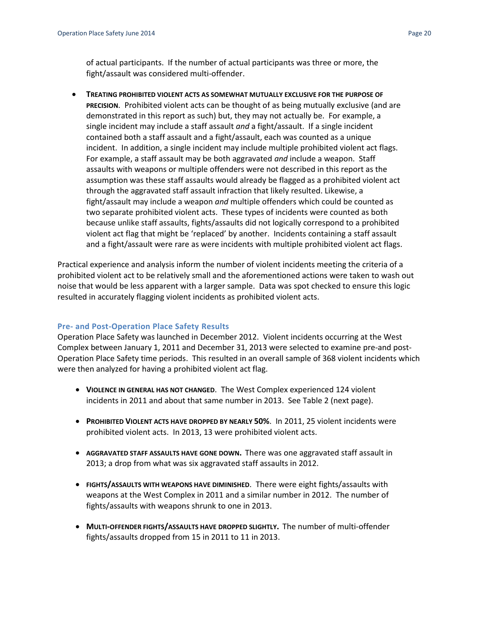of actual participants. If the number of actual participants was three or more, the fight/assault was considered multi-offender.

 **TREATING PROHIBITED VIOLENT ACTS AS SOMEWHAT MUTUALLY EXCLUSIVE FOR THE PURPOSE OF PRECISION**. Prohibited violent acts can be thought of as being mutually exclusive (and are demonstrated in this report as such) but, they may not actually be. For example, a single incident may include a staff assault *and* a fight/assault. If a single incident contained both a staff assault and a fight/assault, each was counted as a unique incident. In addition, a single incident may include multiple prohibited violent act flags. For example, a staff assault may be both aggravated *and* include a weapon. Staff assaults with weapons or multiple offenders were not described in this report as the assumption was these staff assaults would already be flagged as a prohibited violent act through the aggravated staff assault infraction that likely resulted. Likewise, a fight/assault may include a weapon *and* multiple offenders which could be counted as two separate prohibited violent acts. These types of incidents were counted as both because unlike staff assaults, fights/assaults did not logically correspond to a prohibited violent act flag that might be 'replaced' by another. Incidents containing a staff assault and a fight/assault were rare as were incidents with multiple prohibited violent act flags.

Practical experience and analysis inform the number of violent incidents meeting the criteria of a prohibited violent act to be relatively small and the aforementioned actions were taken to wash out noise that would be less apparent with a larger sample. Data was spot checked to ensure this logic resulted in accurately flagging violent incidents as prohibited violent acts.

#### <span id="page-20-0"></span>**Pre- and Post-Operation Place Safety Results**

Operation Place Safety was launched in December 2012. Violent incidents occurring at the West Complex between January 1, 2011 and December 31, 2013 were selected to examine pre-and post-Operation Place Safety time periods. This resulted in an overall sample of 368 violent incidents which were then analyzed for having a prohibited violent act flag.

- **VIOLENCE IN GENERAL HAS NOT CHANGED. The West Complex experienced 124 violent** incidents in 2011 and about that same number in 2013. See Table 2 (next page).
- **PROHIBITED VIOLENT ACTS HAVE DROPPED BY NEARLY 50%**. In 2011, 25 violent incidents were prohibited violent acts. In 2013, 13 were prohibited violent acts.
- **AGGRAVATED STAFF ASSAULTS HAVE GONE DOWN.** There was one aggravated staff assault in 2013; a drop from what was six aggravated staff assaults in 2012.
- **FIGHTS/ASSAULTS WITH WEAPONS HAVE DIMINISHED**. There were eight fights/assaults with weapons at the West Complex in 2011 and a similar number in 2012. The number of fights/assaults with weapons shrunk to one in 2013.
- **MULTI-OFFENDER FIGHTS/ASSAULTS HAVE DROPPED SLIGHTLY.** The number of multi-offender fights/assaults dropped from 15 in 2011 to 11 in 2013.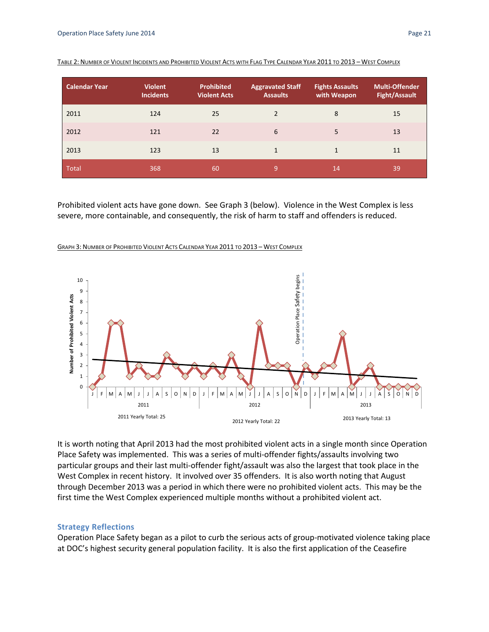| <b>Calendar Year</b> | <b>Violent</b><br><b>Incidents</b> | <b>Prohibited</b><br><b>Violent Acts</b> | <b>Aggravated Staff</b><br><b>Assaults</b> | <b>Fights Assaults</b><br>with Weapon | <b>Multi-Offender</b><br><b>Fight/Assault</b> |
|----------------------|------------------------------------|------------------------------------------|--------------------------------------------|---------------------------------------|-----------------------------------------------|
| 2011                 | 124                                | 25                                       | 2                                          | 8                                     | 15                                            |
| 2012                 | 121                                | 22                                       | 6                                          | 5                                     | 13                                            |
| 2013                 | 123                                | 13                                       | 1                                          | 1                                     | 11                                            |
| <b>Total</b>         | 368                                | 60                                       | 9                                          | 14                                    | 39                                            |

|  | TABLE 2: NUMBER OF VIOLENT INCIDENTS AND PROHIBITED VIOLENT ACTS WITH FLAG TYPE CALENDAR YEAR 2011 TO 2013 - WEST COMPLEX |  |  |  |
|--|---------------------------------------------------------------------------------------------------------------------------|--|--|--|
|--|---------------------------------------------------------------------------------------------------------------------------|--|--|--|

Prohibited violent acts have gone down. See Graph 3 (below). Violence in the West Complex is less severe, more containable, and consequently, the risk of harm to staff and offenders is reduced.

GRAPH 3: NUMBER OF PROHIBITED VIOLENT ACTS CALENDAR YEAR 2011 TO 2013 – WEST COMPLEX



It is worth noting that April 2013 had the most prohibited violent acts in a single month since Operation Place Safety was implemented. This was a series of multi-offender fights/assaults involving two particular groups and their last multi-offender fight/assault was also the largest that took place in the West Complex in recent history. It involved over 35 offenders. It is also worth noting that August through December 2013 was a period in which there were no prohibited violent acts. This may be the first time the West Complex experienced multiple months without a prohibited violent act.

#### <span id="page-21-0"></span>**Strategy Reflections**

Operation Place Safety began as a pilot to curb the serious acts of group-motivated violence taking place at DOC's highest security general population facility. It is also the first application of the Ceasefire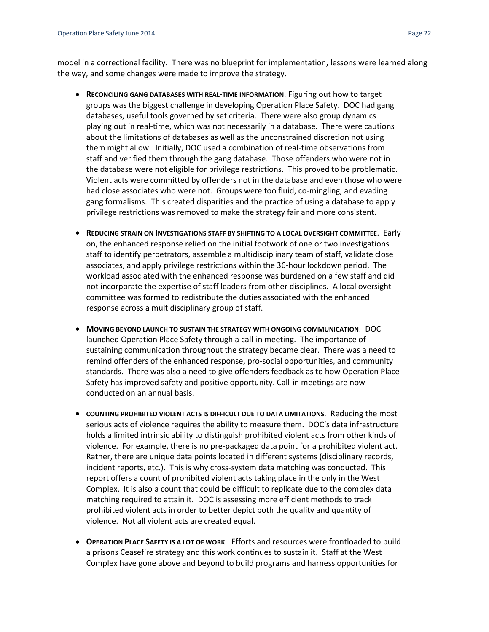model in a correctional facility. There was no blueprint for implementation, lessons were learned along the way, and some changes were made to improve the strategy.

- **RECONCILING GANG DATABASES WITH REAL-TIME INFORMATION**. Figuring out how to target groups was the biggest challenge in developing Operation Place Safety. DOC had gang databases, useful tools governed by set criteria. There were also group dynamics playing out in real-time, which was not necessarily in a database. There were cautions about the limitations of databases as well as the unconstrained discretion not using them might allow. Initially, DOC used a combination of real-time observations from staff and verified them through the gang database. Those offenders who were not in the database were not eligible for privilege restrictions. This proved to be problematic. Violent acts were committed by offenders not in the database and even those who were had close associates who were not. Groups were too fluid, co-mingling, and evading gang formalisms. This created disparities and the practice of using a database to apply privilege restrictions was removed to make the strategy fair and more consistent.
- **REDUCING STRAIN ON INVESTIGATIONS STAFF BY SHIFTING TO A LOCAL OVERSIGHT COMMITTEE**. Early on, the enhanced response relied on the initial footwork of one or two investigations staff to identify perpetrators, assemble a multidisciplinary team of staff, validate close associates, and apply privilege restrictions within the 36-hour lockdown period. The workload associated with the enhanced response was burdened on a few staff and did not incorporate the expertise of staff leaders from other disciplines. A local oversight committee was formed to redistribute the duties associated with the enhanced response across a multidisciplinary group of staff.
- **MOVING BEYOND LAUNCH TO SUSTAIN THE STRATEGY WITH ONGOING COMMUNICATION**. DOC launched Operation Place Safety through a call-in meeting. The importance of sustaining communication throughout the strategy became clear. There was a need to remind offenders of the enhanced response, pro-social opportunities, and community standards. There was also a need to give offenders feedback as to how Operation Place Safety has improved safety and positive opportunity. Call-in meetings are now conducted on an annual basis.
- **COUNTING PROHIBITED VIOLENT ACTS IS DIFFICULT DUE TO DATA LIMITATIONS**. Reducing the most serious acts of violence requires the ability to measure them. DOC's data infrastructure holds a limited intrinsic ability to distinguish prohibited violent acts from other kinds of violence. For example, there is no pre-packaged data point for a prohibited violent act. Rather, there are unique data points located in different systems (disciplinary records, incident reports, etc.). This is why cross-system data matching was conducted. This report offers a count of prohibited violent acts taking place in the only in the West Complex. It is also a count that could be difficult to replicate due to the complex data matching required to attain it. DOC is assessing more efficient methods to track prohibited violent acts in order to better depict both the quality and quantity of violence. Not all violent acts are created equal.
- **OPERATION PLACE SAFETY IS A LOT OF WORK**. Efforts and resources were frontloaded to build a prisons Ceasefire strategy and this work continues to sustain it. Staff at the West Complex have gone above and beyond to build programs and harness opportunities for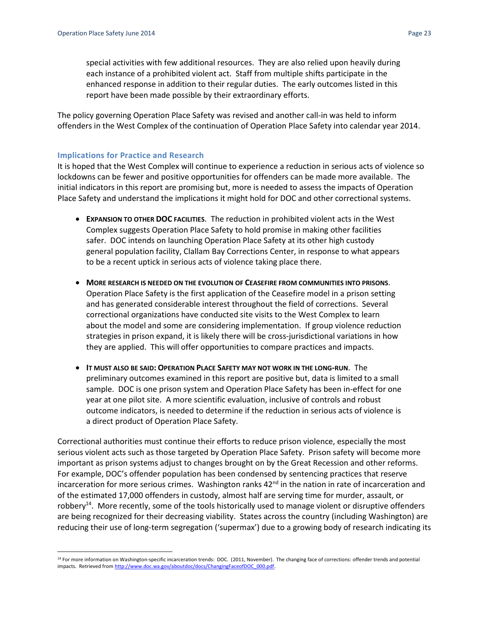special activities with few additional resources. They are also relied upon heavily during each instance of a prohibited violent act. Staff from multiple shifts participate in the enhanced response in addition to their regular duties. The early outcomes listed in this report have been made possible by their extraordinary efforts.

The policy governing Operation Place Safety was revised and another call-in was held to inform offenders in the West Complex of the continuation of Operation Place Safety into calendar year 2014.

#### <span id="page-23-0"></span>**Implications for Practice and Research**

It is hoped that the West Complex will continue to experience a reduction in serious acts of violence so lockdowns can be fewer and positive opportunities for offenders can be made more available. The initial indicators in this report are promising but, more is needed to assess the impacts of Operation Place Safety and understand the implications it might hold for DOC and other correctional systems.

- **EXPANSION TO OTHER DOC FACILITIES**. The reduction in prohibited violent acts in the West Complex suggests Operation Place Safety to hold promise in making other facilities safer. DOC intends on launching Operation Place Safety at its other high custody general population facility, Clallam Bay Corrections Center, in response to what appears to be a recent uptick in serious acts of violence taking place there.
- **MORE RESEARCH IS NEEDED ON THE EVOLUTION OF CEASEFIRE FROM COMMUNITIES INTO PRISONS**. Operation Place Safety is the first application of the Ceasefire model in a prison setting and has generated considerable interest throughout the field of corrections. Several correctional organizations have conducted site visits to the West Complex to learn about the model and some are considering implementation. If group violence reduction strategies in prison expand, it is likely there will be cross-jurisdictional variations in how they are applied. This will offer opportunities to compare practices and impacts.
- **IT MUST ALSO BE SAID: OPERATION PLACE SAFETY MAY NOT WORK IN THE LONG-RUN**. The preliminary outcomes examined in this report are positive but, data is limited to a small sample. DOC is one prison system and Operation Place Safety has been in-effect for one year at one pilot site. A more scientific evaluation, inclusive of controls and robust outcome indicators, is needed to determine if the reduction in serious acts of violence is a direct product of Operation Place Safety.

Correctional authorities must continue their efforts to reduce prison violence, especially the most serious violent acts such as those targeted by Operation Place Safety. Prison safety will become more important as prison systems adjust to changes brought on by the Great Recession and other reforms. For example, DOC's offender population has been condensed by sentencing practices that reserve incarceration for more serious crimes. Washington ranks  $42<sup>nd</sup>$  in the nation in rate of incarceration and of the estimated 17,000 offenders in custody, almost half are serving time for murder, assault, or robbery<sup>14</sup>. More recently, some of the tools historically used to manage violent or disruptive offenders are being recognized for their decreasing viability. States across the country (including Washington) are reducing their use of long-term segregation ('supermax') due to a growing body of research indicating its

 $\overline{\phantom{a}}$ <sup>14</sup> For more information on Washington-specific incarceration trends: DOC. (2011, November). The changing face of corrections: offender trends and potential impacts. Retrieved fro[m http://www.doc.wa.gov/aboutdoc/docs/ChangingFaceofDOC\\_000.pdf.](http://www.doc.wa.gov/aboutdoc/docs/ChangingFaceofDOC_000.pdf)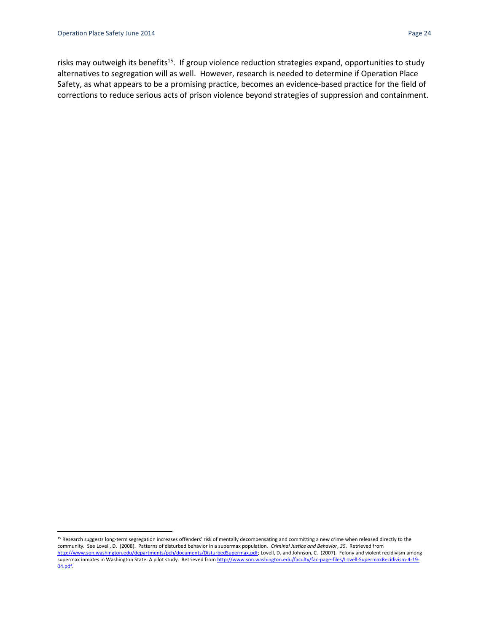l

risks may outweigh its benefits<sup>15</sup>. If group violence reduction strategies expand, opportunities to study alternatives to segregation will as well. However, research is needed to determine if Operation Place Safety, as what appears to be a promising practice, becomes an evidence-based practice for the field of corrections to reduce serious acts of prison violence beyond strategies of suppression and containment.

<sup>15</sup> Research suggests long-term segregation increases offenders' risk of mentally decompensating and committing a new crime when released directly to the community. See Lovell, D. (2008). Patterns of disturbed behavior in a supermax population. *Criminal Justice and Behavior*, *35*. Retrieved from [http://www.son.washington.edu/departments/pch/documents/DisturbedSupermax.pdf;](http://www.son.washington.edu/departments/pch/documents/DisturbedSupermax.pdf) Lovell, D. and Johnson, C. (2007). Felony and violent recidivism among supermax inmates in Washington State: A pilot study. Retrieved fro[m http://www.son.washington.edu/faculty/fac-page-files/Lovell-SupermaxRecidivism-4-19-](http://www.son.washington.edu/faculty/fac-page-files/Lovell-SupermaxRecidivism-4-19-04.pdf) [04.pdf.](http://www.son.washington.edu/faculty/fac-page-files/Lovell-SupermaxRecidivism-4-19-04.pdf)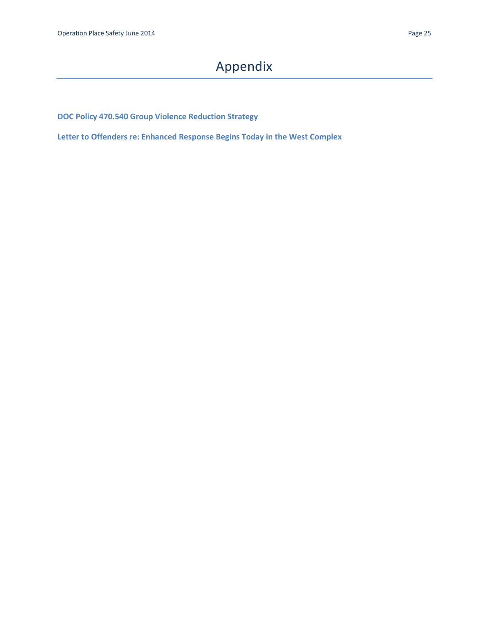# Appendix

<span id="page-25-0"></span>**DOC Policy 470.540 Group Violence Reduction Strategy**

**Letter to Offenders re: Enhanced Response Begins Today in the West Complex**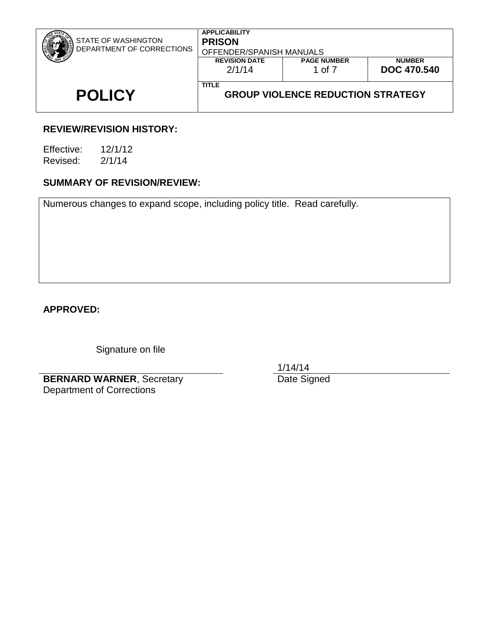|                                                  | <b>PAGE NUMBER</b><br><b>REVISION DATE</b><br>2/1/14<br><b>DOC 470.540</b><br>1 of 7<br><b>TITLE</b> |  |  |
|--------------------------------------------------|------------------------------------------------------------------------------------------------------|--|--|
| STATE OF WASHINGTON<br>DEPARTMENT OF CORRECTIONS | <b>PRISON</b><br>OFFENDER/SPANISH MANUALS<br><b>NUMBER</b>                                           |  |  |

### **REVIEW/REVISION HISTORY:**

Effective: 12/1/12 Revised: 2/1/14

### **SUMMARY OF REVISION/REVIEW:**

Numerous changes to expand scope, including policy title. Read carefully.

### **APPROVED:**

Signature on file

**BERNARD WARNER**, Secretary Department of Corrections

1/14/14

Date Signed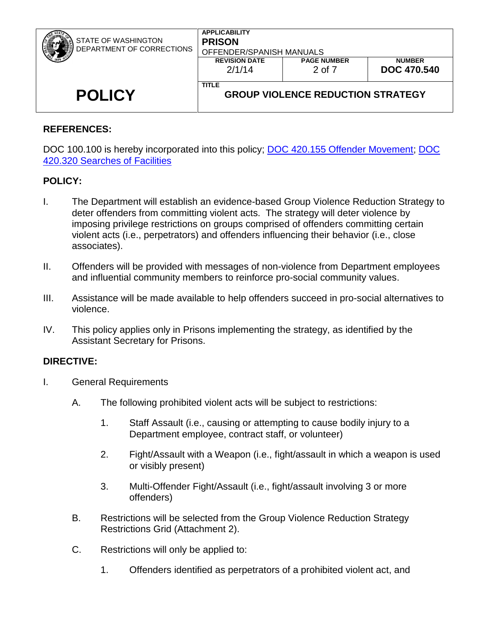| STATE OF WASHINGTON<br>DEPARTMENT OF CORRECTIONS | <b>APPLICABILITY</b><br><b>PRISON</b><br>OFFENDER/SPANISH MANUALS<br><b>REVISION DATE</b><br>2/1/14 | <b>PAGE NUMBER</b><br>2 of 7             | <b>NUMBER</b><br><b>DOC 470.540</b> |
|--------------------------------------------------|-----------------------------------------------------------------------------------------------------|------------------------------------------|-------------------------------------|
| <b>POLICY</b>                                    | <b>TITLE</b>                                                                                        | <b>GROUP VIOLENCE REDUCTION STRATEGY</b> |                                     |

### **REFERENCES:**

DOC 100.100 is hereby incorporated into this policy; [DOC 420.155 Offender Movement;](http://insidedoc/policies/DOC/word/420155.pdf) DOC [420.320 Searches of Facilities](http://insidedoc/policies/DOC/word/420320.pdf)

### **POLICY:**

- I. The Department will establish an evidence-based Group Violence Reduction Strategy to deter offenders from committing violent acts. The strategy will deter violence by imposing privilege restrictions on groups comprised of offenders committing certain violent acts (i.e., perpetrators) and offenders influencing their behavior (i.e., close associates).
- II. Offenders will be provided with messages of non-violence from Department employees and influential community members to reinforce pro-social community values.
- III. Assistance will be made available to help offenders succeed in pro-social alternatives to violence.
- IV. This policy applies only in Prisons implementing the strategy, as identified by the Assistant Secretary for Prisons.

### **DIRECTIVE:**

- I. General Requirements
	- A. The following prohibited violent acts will be subject to restrictions:
		- 1. Staff Assault (i.e., causing or attempting to cause bodily injury to a Department employee, contract staff, or volunteer)
		- 2. Fight/Assault with a Weapon (i.e., fight/assault in which a weapon is used or visibly present)
		- 3. Multi-Offender Fight/Assault (i.e., fight/assault involving 3 or more offenders)
	- B. Restrictions will be selected from the Group Violence Reduction Strategy Restrictions Grid (Attachment 2).
	- C. Restrictions will only be applied to:
		- 1. Offenders identified as perpetrators of a prohibited violent act, and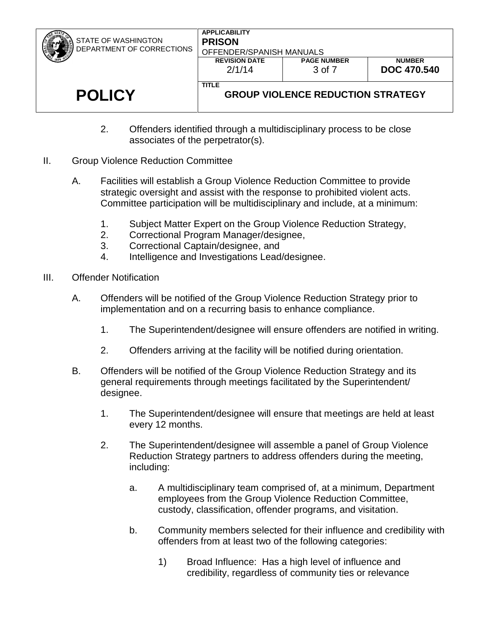| STATE OF WASHINGTON<br>DEPARTMENT OF CORRECTIONS | <b>APPLICABILITY</b><br><b>PRISON</b><br>OFFENDER/SPANISH MANUALS<br><b>PAGE NUMBER</b><br><b>REVISION DATE</b><br><b>NUMBER</b><br>2/1/14<br>3 of 7 |  | <b>DOC 470.540</b> |
|--------------------------------------------------|------------------------------------------------------------------------------------------------------------------------------------------------------|--|--------------------|
| <b>POLICY</b>                                    | <b>TITLE</b><br><b>GROUP VIOLENCE REDUCTION STRATEGY</b>                                                                                             |  |                    |

- 2. Offenders identified through a multidisciplinary process to be close associates of the perpetrator(s).
- II. Group Violence Reduction Committee
	- A. Facilities will establish a Group Violence Reduction Committee to provide strategic oversight and assist with the response to prohibited violent acts. Committee participation will be multidisciplinary and include, at a minimum:
		- 1. Subject Matter Expert on the Group Violence Reduction Strategy,
		- 2. Correctional Program Manager/designee,
		- 3. Correctional Captain/designee, and
		- 4. Intelligence and Investigations Lead/designee.
- III. Offender Notification
	- A. Offenders will be notified of the Group Violence Reduction Strategy prior to implementation and on a recurring basis to enhance compliance.
		- 1. The Superintendent/designee will ensure offenders are notified in writing.
		- 2. Offenders arriving at the facility will be notified during orientation.
	- B. Offenders will be notified of the Group Violence Reduction Strategy and its general requirements through meetings facilitated by the Superintendent/ designee.
		- 1. The Superintendent/designee will ensure that meetings are held at least every 12 months.
		- 2. The Superintendent/designee will assemble a panel of Group Violence Reduction Strategy partners to address offenders during the meeting, including:
			- a. A multidisciplinary team comprised of, at a minimum, Department employees from the Group Violence Reduction Committee, custody, classification, offender programs, and visitation.
			- b. Community members selected for their influence and credibility with offenders from at least two of the following categories:
				- 1) Broad Influence: Has a high level of influence and credibility, regardless of community ties or relevance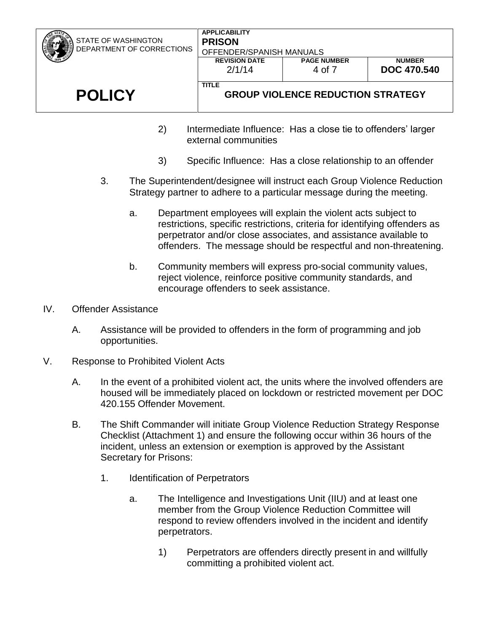| STATE OF WASHINGTON<br>DEPARTMENT OF CORRECTIONS                          | <b>APPLICABILITY</b><br><b>PRISON</b><br>OFFENDER/SPANISH MANUALS |                    |                    |  |
|---------------------------------------------------------------------------|-------------------------------------------------------------------|--------------------|--------------------|--|
|                                                                           | <b>REVISION DATE</b>                                              | <b>PAGE NUMBER</b> | <b>NUMBER</b>      |  |
|                                                                           | 2/1/14                                                            | 4 of 7             | <b>DOC 470.540</b> |  |
| <b>TITLE</b><br><b>POLICY</b><br><b>GROUP VIOLENCE REDUCTION STRATEGY</b> |                                                                   |                    |                    |  |
| Intermediate Influence: Has a close tie to offenders' larger<br>2)        |                                                                   |                    |                    |  |

- 2) Intermediate Influence: Has a close tie to offenders' larger external communities
- 3) Specific Influence: Has a close relationship to an offender
- 3. The Superintendent/designee will instruct each Group Violence Reduction Strategy partner to adhere to a particular message during the meeting.
	- a. Department employees will explain the violent acts subject to restrictions, specific restrictions, criteria for identifying offenders as perpetrator and/or close associates, and assistance available to offenders. The message should be respectful and non-threatening.
	- b. Community members will express pro-social community values, reject violence, reinforce positive community standards, and encourage offenders to seek assistance.
- IV. Offender Assistance
	- A. Assistance will be provided to offenders in the form of programming and job opportunities.
- V. Response to Prohibited Violent Acts
	- A. In the event of a prohibited violent act, the units where the involved offenders are housed will be immediately placed on lockdown or restricted movement per DOC 420.155 Offender Movement.
	- B. The Shift Commander will initiate Group Violence Reduction Strategy Response Checklist (Attachment 1) and ensure the following occur within 36 hours of the incident, unless an extension or exemption is approved by the Assistant Secretary for Prisons:
		- 1. Identification of Perpetrators
			- a. The Intelligence and Investigations Unit (IIU) and at least one member from the Group Violence Reduction Committee will respond to review offenders involved in the incident and identify perpetrators.
				- 1) Perpetrators are offenders directly present in and willfully committing a prohibited violent act.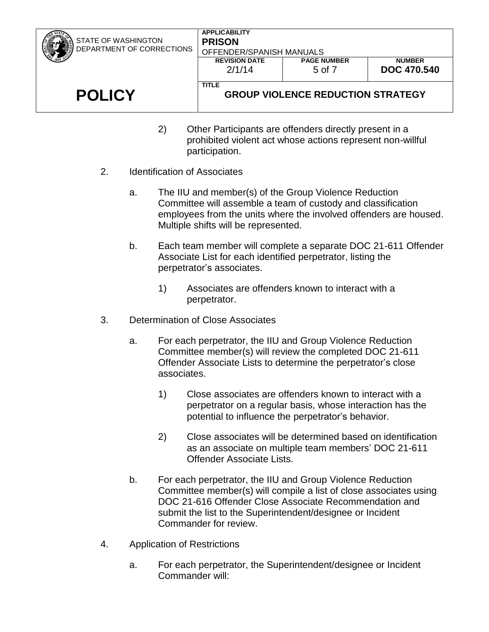- 2) Other Participants are offenders directly present in a prohibited violent act whose actions represent non-willful participation.
- 2. Identification of Associates
	- a. The IIU and member(s) of the Group Violence Reduction Committee will assemble a team of custody and classification employees from the units where the involved offenders are housed. Multiple shifts will be represented.
	- b. Each team member will complete a separate DOC 21-611 Offender Associate List for each identified perpetrator, listing the perpetrator's associates.
		- 1) Associates are offenders known to interact with a perpetrator.
- 3. Determination of Close Associates
	- a. For each perpetrator, the IIU and Group Violence Reduction Committee member(s) will review the completed DOC 21-611 Offender Associate Lists to determine the perpetrator's close associates.
		- 1) Close associates are offenders known to interact with a perpetrator on a regular basis, whose interaction has the potential to influence the perpetrator's behavior.
		- 2) Close associates will be determined based on identification as an associate on multiple team members' DOC 21-611 Offender Associate Lists.
	- b. For each perpetrator, the IIU and Group Violence Reduction Committee member(s) will compile a list of close associates using DOC 21-616 Offender Close Associate Recommendation and submit the list to the Superintendent/designee or Incident Commander for review.
- 4. Application of Restrictions
	- a. For each perpetrator, the Superintendent/designee or Incident Commander will: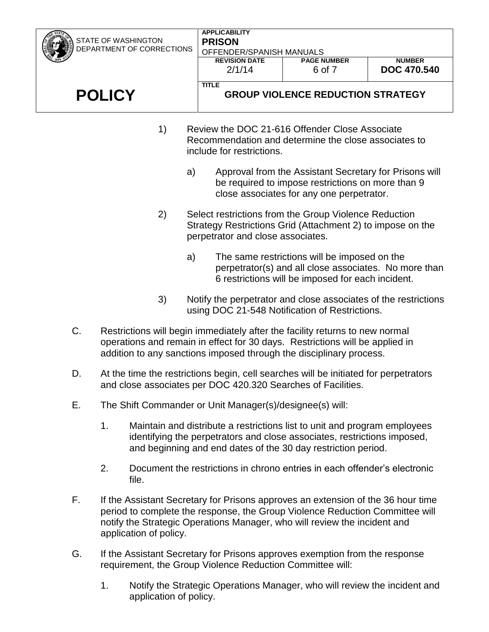| <b>STATE OF WASHINGTON</b> | <b>APPLICABILITY</b><br><b>PRISON</b>                                                                                                                    |                                                                                                                                                          |                    |  |
|----------------------------|----------------------------------------------------------------------------------------------------------------------------------------------------------|----------------------------------------------------------------------------------------------------------------------------------------------------------|--------------------|--|
| DEPARTMENT OF CORRECTIONS  | OFFENDER/SPANISH MANUALS                                                                                                                                 |                                                                                                                                                          |                    |  |
|                            | <b>REVISION DATE</b>                                                                                                                                     | <b>PAGE NUMBER</b>                                                                                                                                       | <b>NUMBER</b>      |  |
|                            | 2/1/14                                                                                                                                                   | 6 of 7                                                                                                                                                   | <b>DOC 470.540</b> |  |
| <b>POLICY</b>              | <b>TITLE</b>                                                                                                                                             | <b>GROUP VIOLENCE REDUCTION STRATEGY</b>                                                                                                                 |                    |  |
| 1)                         | Review the DOC 21-616 Offender Close Associate<br>Recommendation and determine the close associates to<br>include for restrictions.                      |                                                                                                                                                          |                    |  |
| a)                         |                                                                                                                                                          | Approval from the Assistant Secretary for Prisons will<br>be required to impose restrictions on more than 9<br>close associates for any one perpetrator. |                    |  |
| 2)                         | Select restrictions from the Group Violence Reduction<br>Strategy Restrictions Grid (Attachment 2) to impose on the<br>perpetrator and close associates. |                                                                                                                                                          |                    |  |
| a)                         |                                                                                                                                                          | The same restrictions will be imposed on the<br>perpetrator(s) and all close associates. No more than                                                    |                    |  |

3) Notify the perpetrator and close associates of the restrictions using DOC 21-548 Notification of Restrictions.

6 restrictions will be imposed for each incident.

- C. Restrictions will begin immediately after the facility returns to new normal operations and remain in effect for 30 days.Restrictions will be applied in addition to any sanctions imposed through the disciplinary process.
- D. At the time the restrictions begin, cell searches will be initiated for perpetrators and close associates per DOC 420.320 Searches of Facilities.
- E. The Shift Commander or Unit Manager(s)/designee(s) will:
	- 1. Maintain and distribute a restrictions list to unit and program employees identifying the perpetrators and close associates, restrictions imposed, and beginning and end dates of the 30 day restriction period.
	- 2. Document the restrictions in chrono entries in each offender's electronic file.
- F. If the Assistant Secretary for Prisons approves an extension of the 36 hour time period to complete the response, the Group Violence Reduction Committee will notify the Strategic Operations Manager, who will review the incident and application of policy.
- G. If the Assistant Secretary for Prisons approves exemption from the response requirement, the Group Violence Reduction Committee will:
	- 1. Notify the Strategic Operations Manager, who will review the incident and application of policy.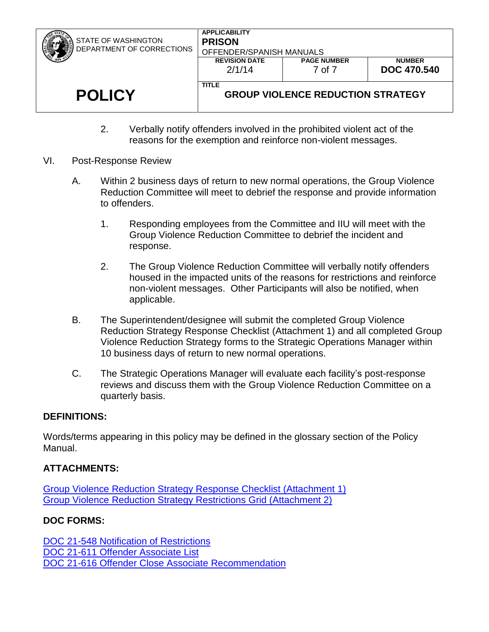| STATE OF WASHINGTON<br>DEPARTMENT OF CORRECTIONS | <b>APPLICABILITY</b><br><b>PRISON</b><br>OFFENDER/SPANISH MANUALS |                              |                                     |
|--------------------------------------------------|-------------------------------------------------------------------|------------------------------|-------------------------------------|
|                                                  | <b>REVISION DATE</b><br>2/1/14                                    | <b>PAGE NUMBER</b><br>7 of 7 | <b>NUMBER</b><br><b>DOC 470.540</b> |
|                                                  |                                                                   |                              |                                     |
| <b>POLICY</b>                                    | <b>TITLE</b><br><b>GROUP VIOLENCE REDUCTION STRATEGY</b>          |                              |                                     |

- 2. Verbally notify offenders involved in the prohibited violent act of the reasons for the exemption and reinforce non-violent messages.
- VI. Post-Response Review
	- A. Within 2 business days of return to new normal operations, the Group Violence Reduction Committee will meet to debrief the response and provide information to offenders.
		- 1. Responding employees from the Committee and IIU will meet with the Group Violence Reduction Committee to debrief the incident and response.
		- 2. The Group Violence Reduction Committee will verbally notify offenders housed in the impacted units of the reasons for restrictions and reinforce non-violent messages. Other Participants will also be notified, when applicable.
	- B. The Superintendent/designee will submit the completed Group Violence Reduction Strategy Response Checklist (Attachment 1) and all completed Group Violence Reduction Strategy forms to the Strategic Operations Manager within 10 business days of return to new normal operations.
	- C. The Strategic Operations Manager will evaluate each facility's post-response reviews and discuss them with the Group Violence Reduction Committee on a quarterly basis.

### **DEFINITIONS:**

Words/terms appearing in this policy may be defined in the glossary section of the Policy Manual.

### **ATTACHMENTS:**

[Group Violence Reduction Strategy Response Checklist \(Attachment 1\)](http://insidedoc/policies/DOC/word/470540a1.pdf) [Group Violence Reduction Strategy Restrictions Grid \(Attachment 2\)](http://insidedoc/policies/DOC/word/470540a2.pdf)

### **DOC FORMS:**

[DOC 21-548 Notification of Restrictions](http://insidedoc/forms/standard/21-548.docx) [DOC 21-611 Offender Associate](http://insidedoc/forms/standard/21-611.docx) List [DOC 21-616 Offender Close Associate](http://insidedoc/forms/standard/21-616.docx) Recommendation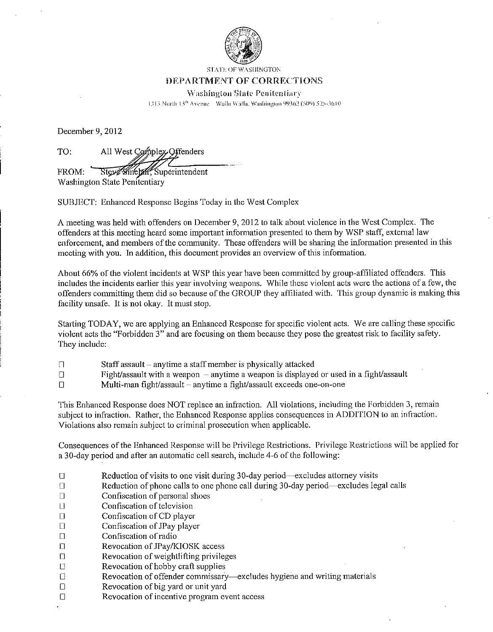

**STATE OF WASHINGTON** 

#### DEPARTMENT OF CORRECTIONS

**Washington State Penitentiary** 

1313 North 13th Avenue Walla Walla, Washington 99362 (509) 525-3610

December 9, 2012

TO: All West Complex Offenders

Steve Sinetall, Superintendent FROM: Washington State Penitentiary

SUBJECT: Enhanced Response Begins Today in the West Complex

A meeting was held with offenders on December 9, 2012 to talk about violence in the West Complex. The offenders at this meeting heard some important information presented to them by WSP staff, external law enforcement, and members of the community. These offenders will be sharing the information presented in this meeting with you. In addition, this document provides an overview of this information.

About 66% of the violent incidents at WSP this year have been committed by group-affiliated offenders. This includes the incidents earlier this year involving weapons. While these violent acts were the actions of a few, the offenders committing them did so because of the GROUP they affiliated with. This group dynamic is making this facility unsafe. It is not okay. It must stop.

Starting TODAY, we are applying an Enhanced Response for specific violent acts. We are calling these specific violent acts the "Forbidden 3" and are focusing on them because they pose the greatest risk to facility safety. They include:

- Staff assault anytime a staff member is physically attacked  $\Box$
- Fight/assault with a weapon  $-$  anytime a weapon is displayed or used in a fight/assault  $\Box$
- Multi-man fight/assault anytime a fight/assault exceeds one-on-one  $\Box$

This Enhanced Response does NOT replace an infraction. All violations, including the Forbidden 3, remain subject to infraction. Rather, the Enhanced Response applies consequences in ADDITION to an infraction. Violations also remain subject to criminal prosecution when applicable.

Consequences of the Enhanced Response will be Privilege Restrictions. Privilege Restrictions will be applied for a 30-day period and after an automatic cell search, include 4-6 of the following:

- $\Box$ Reduction of visits to one visit during 30-day period—excludes attorney visits
- Reduction of phone calls to one phone call during 30-day period—excludes legal calls  $\Box$
- Confiscation of personal shoes  $\Box$
- Confiscation of television  $\Box$
- Confiscation of CD player  $\Box$
- Confiscation of JPay player  $\Box$
- $\Box$ Confiscation of radio
- $\Box$ Revocation of JPay/KIOSK access
- Revocation of weightlifting privileges  $\Box$
- Revocation of hobby craft supplies  $\Box$
- $\Box$ Revocation of offender commissary-excludes hygiene and writing materials
- Revocation of big yard or unit yard  $\Box$
- Revocation of incentive program event access  $\Box$